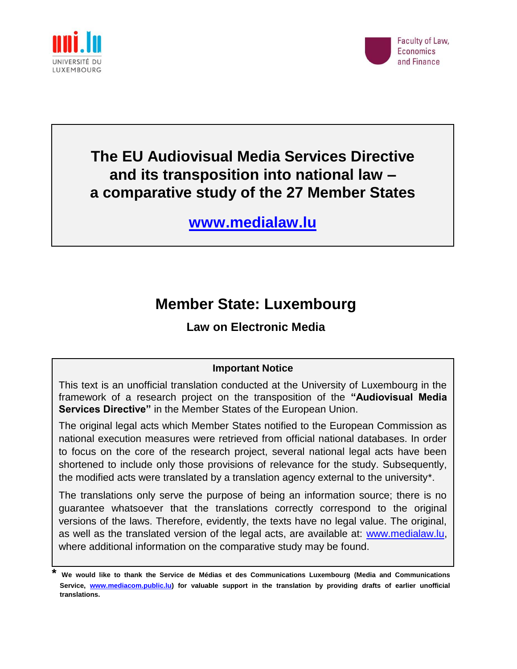



# **The EU Audiovisual Media Services Directive and its transposition into national law – a comparative study of the 27 Member States**

**[www.medialaw.lu](http://www.medialaw.lu/)**

# **Member State: Luxembourg**

# **Law on Electronic Media**

# **Important Notice**

This text is an unofficial translation conducted at the University of Luxembourg in the framework of a research project on the transposition of the **"Audiovisual Media Services Directive"** in the Member States of the European Union.

The original legal acts which Member States notified to the European Commission as national execution measures were retrieved from official national databases. In order to focus on the core of the research project, several national legal acts have been shortened to include only those provisions of relevance for the study. Subsequently, the modified acts were translated by a translation agency external to the university\*.

The translations only serve the purpose of being an information source; there is no guarantee whatsoever that the translations correctly correspond to the original versions of the laws. Therefore, evidently, the texts have no legal value. The original, as well as the translated version of the legal acts, are available at: [www.medialaw.lu,](http://www.medialaw.lu/) where additional information on the comparative study may be found.

**<sup>\*</sup> We would like to thank the Service de Médias et des Communications Luxembourg (Media and Communications Service, [www.mediacom.public.lu\)](http://www.mediacom.public.lu/) for valuable support in the translation by providing drafts of earlier unofficial translations.**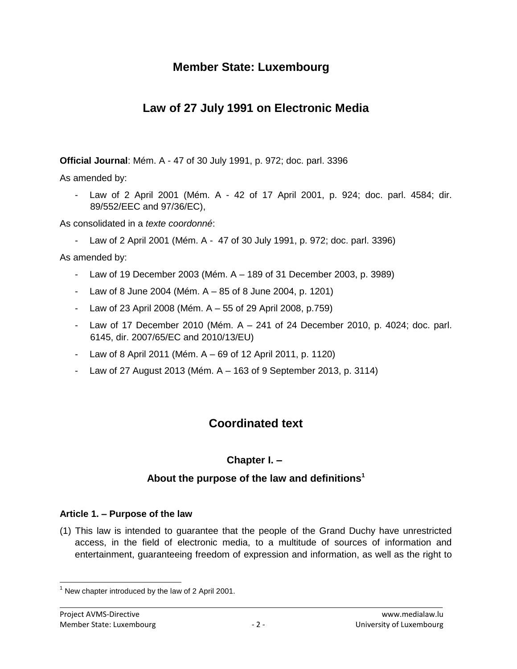# **Member State: Luxembourg**

# **Law of 27 July 1991 on Electronic Media**

**Official Journal**: Mém. A - 47 of 30 July 1991, p. 972; doc. parl. 3396

As amended by:

- Law of 2 April 2001 (Mém. A - 42 of 17 April 2001, p. 924; doc. parl. 4584; dir. 89/552/EEC and 97/36/EC),

As consolidated in a *texte coordonné*:

- Law of 2 April 2001 (Mém. A - 47 of 30 July 1991, p. 972; doc. parl. 3396)

As amended by:

- Law of 19 December 2003 (Mém. A 189 of 31 December 2003, p. 3989)
- Law of 8 June 2004 (Mém. A 85 of 8 June 2004, p. 1201)
- Law of 23 April 2008 (Mém.  $A 55$  of 29 April 2008, p.759)
- Law of 17 December 2010 (Mém.  $A 241$  of 24 December 2010, p. 4024; doc. parl. 6145, dir. 2007/65/EC and 2010/13/EU)
- Law of 8 April 2011 (Mém. A 69 of 12 April 2011, p. 1120)
- Law of 27 August 2013 (Mém. A 163 of 9 September 2013, p. 3114)

# **Coordinated text**

# **Chapter I. –**

# **About the purpose of the law and definitions<sup>1</sup>**

# **Article 1. – Purpose of the law**

(1) This law is intended to guarantee that the people of the Grand Duchy have unrestricted access, in the field of electronic media, to a multitude of sources of information and entertainment, guaranteeing freedom of expression and information, as well as the right to

 $\overline{a}$  $1$  New chapter introduced by the law of 2 April 2001.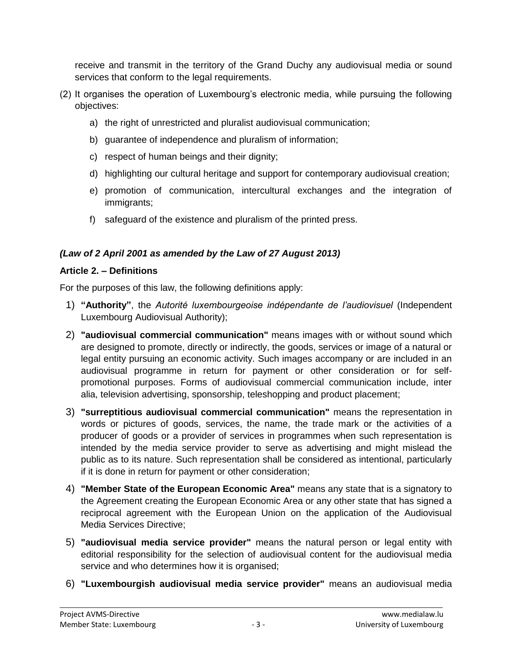receive and transmit in the territory of the Grand Duchy any audiovisual media or sound services that conform to the legal requirements.

- (2) It organises the operation of Luxembourg's electronic media, while pursuing the following objectives:
	- a) the right of unrestricted and pluralist audiovisual communication;
	- b) guarantee of independence and pluralism of information;
	- c) respect of human beings and their dignity;
	- d) highlighting our cultural heritage and support for contemporary audiovisual creation;
	- e) promotion of communication, intercultural exchanges and the integration of immigrants;
	- f) safeguard of the existence and pluralism of the printed press.

# *(Law of 2 April 2001 as amended by the Law of 27 August 2013)*

### **Article 2. – Definitions**

For the purposes of this law, the following definitions apply:

- 1) **"Authority"**, the *Autorité luxembourgeoise indépendante de l'audiovisuel* (Independent Luxembourg Audiovisual Authority);
- 2) **"audiovisual commercial communication"** means images with or without sound which are designed to promote, directly or indirectly, the goods, services or image of a natural or legal entity pursuing an economic activity. Such images accompany or are included in an audiovisual programme in return for payment or other consideration or for selfpromotional purposes. Forms of audiovisual commercial communication include, inter alia, television advertising, sponsorship, teleshopping and product placement;
- 3) **"surreptitious audiovisual commercial communication"** means the representation in words or pictures of goods, services, the name, the trade mark or the activities of a producer of goods or a provider of services in programmes when such representation is intended by the media service provider to serve as advertising and might mislead the public as to its nature. Such representation shall be considered as intentional, particularly if it is done in return for payment or other consideration;
- 4) **"Member State of the European Economic Area"** means any state that is a signatory to the Agreement creating the European Economic Area or any other state that has signed a reciprocal agreement with the European Union on the application of the Audiovisual Media Services Directive;
- 5) **"audiovisual media service provider"** means the natural person or legal entity with editorial responsibility for the selection of audiovisual content for the audiovisual media service and who determines how it is organised;
- 6) **"Luxembourgish audiovisual media service provider"** means an audiovisual media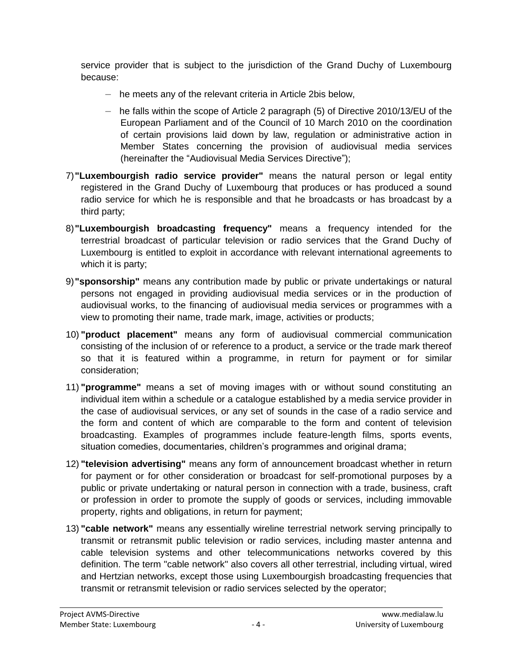service provider that is subject to the jurisdiction of the Grand Duchy of Luxembourg because:

- he meets any of the relevant criteria in Article 2bis below,
- he falls within the scope of Article 2 paragraph (5) of Directive 2010/13/EU of the European Parliament and of the Council of 10 March 2010 on the coordination of certain provisions laid down by law, regulation or administrative action in Member States concerning the provision of audiovisual media services (hereinafter the "Audiovisual Media Services Directive");
- 7)**"Luxembourgish radio service provider"** means the natural person or legal entity registered in the Grand Duchy of Luxembourg that produces or has produced a sound radio service for which he is responsible and that he broadcasts or has broadcast by a third party;
- 8)**"Luxembourgish broadcasting frequency"** means a frequency intended for the terrestrial broadcast of particular television or radio services that the Grand Duchy of Luxembourg is entitled to exploit in accordance with relevant international agreements to which it is party;
- 9)**"sponsorship"** means any contribution made by public or private undertakings or natural persons not engaged in providing audiovisual media services or in the production of audiovisual works, to the financing of audiovisual media services or programmes with a view to promoting their name, trade mark, image, activities or products;
- 10) **"product placement"** means any form of audiovisual commercial communication consisting of the inclusion of or reference to a product, a service or the trade mark thereof so that it is featured within a programme, in return for payment or for similar consideration;
- 11) **"programme"** means a set of moving images with or without sound constituting an individual item within a schedule or a catalogue established by a media service provider in the case of audiovisual services, or any set of sounds in the case of a radio service and the form and content of which are comparable to the form and content of television broadcasting. Examples of programmes include feature-length films, sports events, situation comedies, documentaries, children's programmes and original drama;
- 12) **"television advertising"** means any form of announcement broadcast whether in return for payment or for other consideration or broadcast for self-promotional purposes by a public or private undertaking or natural person in connection with a trade, business, craft or profession in order to promote the supply of goods or services, including immovable property, rights and obligations, in return for payment;
- 13) **"cable network"** means any essentially wireline terrestrial network serving principally to transmit or retransmit public television or radio services, including master antenna and cable television systems and other telecommunications networks covered by this definition. The term "cable network" also covers all other terrestrial, including virtual, wired and Hertzian networks, except those using Luxembourgish broadcasting frequencies that transmit or retransmit television or radio services selected by the operator;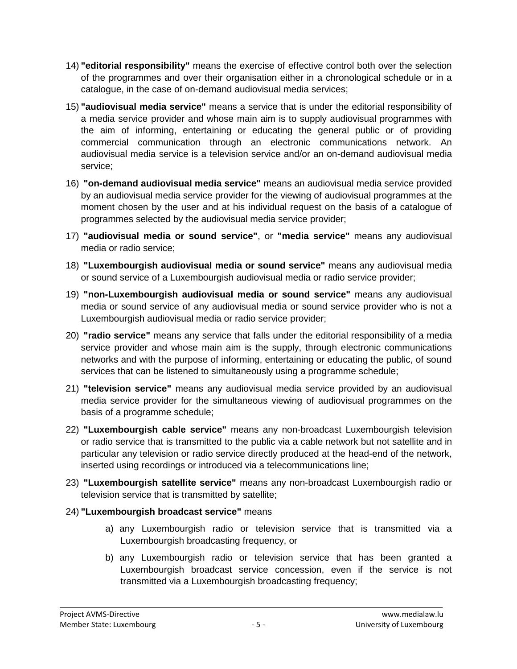- 14) **"editorial responsibility"** means the exercise of effective control both over the selection of the programmes and over their organisation either in a chronological schedule or in a catalogue, in the case of on-demand audiovisual media services;
- 15) **"audiovisual media service"** means a service that is under the editorial responsibility of a media service provider and whose main aim is to supply audiovisual programmes with the aim of informing, entertaining or educating the general public or of providing commercial communication through an electronic communications network. An audiovisual media service is a television service and/or an on-demand audiovisual media service;
- 16) **"on-demand audiovisual media service"** means an audiovisual media service provided by an audiovisual media service provider for the viewing of audiovisual programmes at the moment chosen by the user and at his individual request on the basis of a catalogue of programmes selected by the audiovisual media service provider;
- 17) **"audiovisual media or sound service"**, or **"media service"** means any audiovisual media or radio service;
- 18) **"Luxembourgish audiovisual media or sound service"** means any audiovisual media or sound service of a Luxembourgish audiovisual media or radio service provider;
- 19) **"non-Luxembourgish audiovisual media or sound service"** means any audiovisual media or sound service of any audiovisual media or sound service provider who is not a Luxembourgish audiovisual media or radio service provider;
- 20) **"radio service"** means any service that falls under the editorial responsibility of a media service provider and whose main aim is the supply, through electronic communications networks and with the purpose of informing, entertaining or educating the public, of sound services that can be listened to simultaneously using a programme schedule;
- 21) **"television service"** means any audiovisual media service provided by an audiovisual media service provider for the simultaneous viewing of audiovisual programmes on the basis of a programme schedule;
- 22) **"Luxembourgish cable service"** means any non-broadcast Luxembourgish television or radio service that is transmitted to the public via a cable network but not satellite and in particular any television or radio service directly produced at the head-end of the network, inserted using recordings or introduced via a telecommunications line;
- 23) **"Luxembourgish satellite service"** means any non-broadcast Luxembourgish radio or television service that is transmitted by satellite;
- 24) **"Luxembourgish broadcast service"** means
	- a) any Luxembourgish radio or television service that is transmitted via a Luxembourgish broadcasting frequency, or
	- b) any Luxembourgish radio or television service that has been granted a Luxembourgish broadcast service concession, even if the service is not transmitted via a Luxembourgish broadcasting frequency;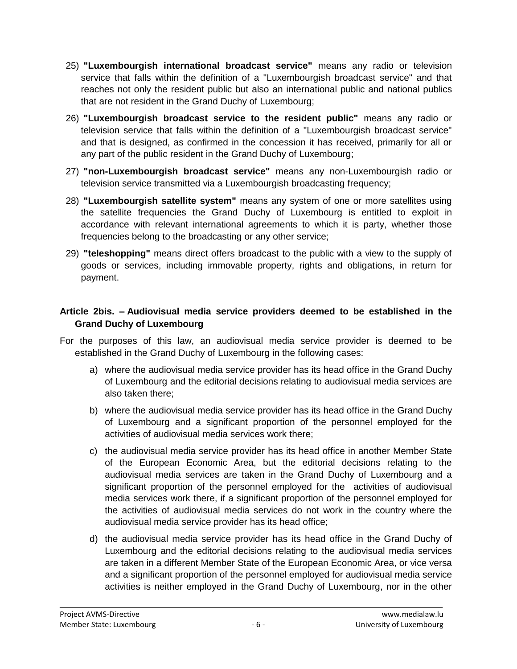- 25) **"Luxembourgish international broadcast service"** means any radio or television service that falls within the definition of a "Luxembourgish broadcast service" and that reaches not only the resident public but also an international public and national publics that are not resident in the Grand Duchy of Luxembourg;
- 26) **"Luxembourgish broadcast service to the resident public"** means any radio or television service that falls within the definition of a "Luxembourgish broadcast service" and that is designed, as confirmed in the concession it has received, primarily for all or any part of the public resident in the Grand Duchy of Luxembourg;
- 27) **"non-Luxembourgish broadcast service"** means any non-Luxembourgish radio or television service transmitted via a Luxembourgish broadcasting frequency;
- 28) **"Luxembourgish satellite system"** means any system of one or more satellites using the satellite frequencies the Grand Duchy of Luxembourg is entitled to exploit in accordance with relevant international agreements to which it is party, whether those frequencies belong to the broadcasting or any other service;
- 29) **"teleshopping"** means direct offers broadcast to the public with a view to the supply of goods or services, including immovable property, rights and obligations, in return for payment.

# **Article 2bis. – Audiovisual media service providers deemed to be established in the Grand Duchy of Luxembourg**

- For the purposes of this law, an audiovisual media service provider is deemed to be established in the Grand Duchy of Luxembourg in the following cases:
	- a) where the audiovisual media service provider has its head office in the Grand Duchy of Luxembourg and the editorial decisions relating to audiovisual media services are also taken there;
	- b) where the audiovisual media service provider has its head office in the Grand Duchy of Luxembourg and a significant proportion of the personnel employed for the activities of audiovisual media services work there;
	- c) the audiovisual media service provider has its head office in another Member State of the European Economic Area, but the editorial decisions relating to the audiovisual media services are taken in the Grand Duchy of Luxembourg and a significant proportion of the personnel employed for the activities of audiovisual media services work there, if a significant proportion of the personnel employed for the activities of audiovisual media services do not work in the country where the audiovisual media service provider has its head office;
	- d) the audiovisual media service provider has its head office in the Grand Duchy of Luxembourg and the editorial decisions relating to the audiovisual media services are taken in a different Member State of the European Economic Area, or vice versa and a significant proportion of the personnel employed for audiovisual media service activities is neither employed in the Grand Duchy of Luxembourg, nor in the other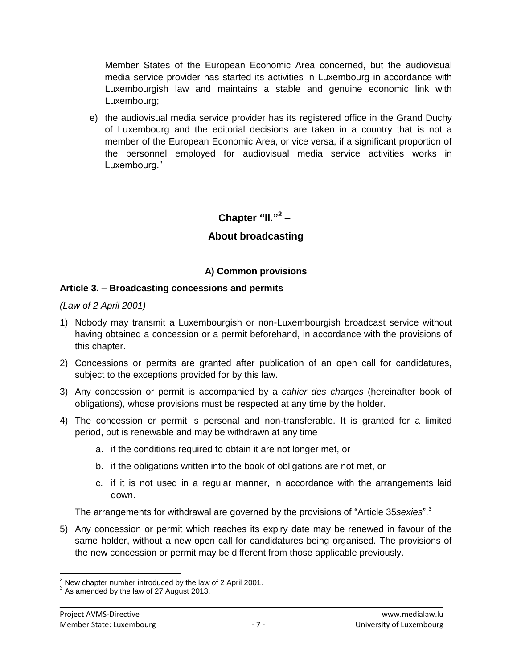Member States of the European Economic Area concerned, but the audiovisual media service provider has started its activities in Luxembourg in accordance with Luxembourgish law and maintains a stable and genuine economic link with Luxembourg;

e) the audiovisual media service provider has its registered office in the Grand Duchy of Luxembourg and the editorial decisions are taken in a country that is not a member of the European Economic Area, or vice versa, if a significant proportion of the personnel employed for audiovisual media service activities works in Luxembourg."

**Chapter "ll."<sup>2</sup> –**

# **About broadcasting**

### **A) Common provisions**

### **Article 3. – Broadcasting concessions and permits**

*(Law of 2 April 2001)*

- 1) Nobody may transmit a Luxembourgish or non-Luxembourgish broadcast service without having obtained a concession or a permit beforehand, in accordance with the provisions of this chapter.
- 2) Concessions or permits are granted after publication of an open call for candidatures, subject to the exceptions provided for by this law.
- 3) Any concession or permit is accompanied by a *cahier des charges* (hereinafter book of obligations), whose provisions must be respected at any time by the holder.
- 4) The concession or permit is personal and non-transferable. It is granted for a limited period, but is renewable and may be withdrawn at any time
	- a. if the conditions required to obtain it are not longer met, or
	- b. if the obligations written into the book of obligations are not met, or
	- c. if it is not used in a regular manner, in accordance with the arrangements laid down.

The arrangements for withdrawal are governed by the provisions of "Article 35*sexies*". 3

5) Any concession or permit which reaches its expiry date may be renewed in favour of the same holder, without a new open call for candidatures being organised. The provisions of the new concession or permit may be different from those applicable previously.

 $\overline{\phantom{a}}$  $2$  New chapter number introduced by the law of 2 April 2001.

 $3$  As amended by the law of 27 August 2013.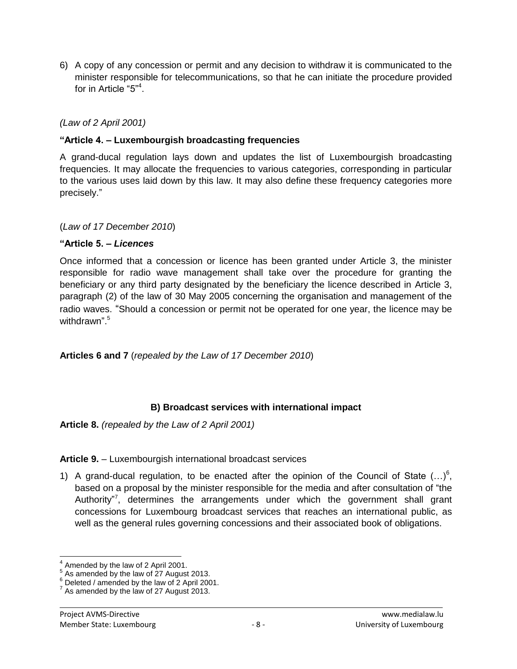6) A copy of any concession or permit and any decision to withdraw it is communicated to the minister responsible for telecommunications, so that he can initiate the procedure provided for in Article "5"<sup>4</sup>.

*(Law of 2 April 2001)*

### **"Article 4. – Luxembourgish broadcasting frequencies**

A grand-ducal regulation lays down and updates the list of Luxembourgish broadcasting frequencies. It may allocate the frequencies to various categories, corresponding in particular to the various uses laid down by this law. It may also define these frequency categories more precisely."

(*Law of 17 December 2010*)

### **"Article 5. –** *Licences*

Once informed that a concession or licence has been granted under Article 3, the minister responsible for radio wave management shall take over the procedure for granting the beneficiary or any third party designated by the beneficiary the licence described in Article 3, paragraph (2) of the law of 30 May 2005 concerning the organisation and management of the radio waves. "Should a concession or permit not be operated for one year, the licence may be withdrawn".<sup>5</sup>

**Articles 6 and 7** (*repealed by the Law of 17 December 2010*)

### **B) Broadcast services with international impact**

**Article 8.** *(repealed by the Law of 2 April 2001)*

### **Article 9.** – Luxembourgish international broadcast services

1) A grand-ducal regulation, to be enacted after the opinion of the Council of State  $(...)^6$ , based on a proposal by the minister responsible for the media and after consultation of "the Authority"<sup>7</sup>, determines the arrangements under which the government shall grant concessions for Luxembourg broadcast services that reaches an international public, as well as the general rules governing concessions and their associated book of obligations.

 $\overline{a}$ 

<sup>4</sup> Amended by the law of 2 April 2001.

 $<sup>5</sup>$  As amended by the law of 27 August 2013.</sup>

<sup>&</sup>lt;sup>6</sup> Deleted / amended by the law of 2 April 2001.

 $7$  As amended by the law of 27 August 2013.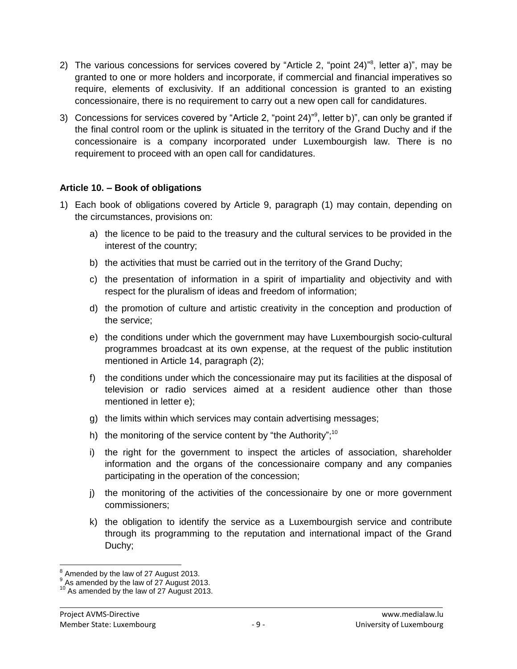- 2) The various concessions for services covered by "Article 2, "point 24)"<sup>8</sup>, letter a)", may be granted to one or more holders and incorporate, if commercial and financial imperatives so require, elements of exclusivity. If an additional concession is granted to an existing concessionaire, there is no requirement to carry out a new open call for candidatures.
- 3) Concessions for services covered by "Article 2, "point 24)"<sup>9</sup>, letter b)", can only be granted if the final control room or the uplink is situated in the territory of the Grand Duchy and if the concessionaire is a company incorporated under Luxembourgish law. There is no requirement to proceed with an open call for candidatures.

### **Article 10. – Book of obligations**

- 1) Each book of obligations covered by Article 9, paragraph (1) may contain, depending on the circumstances, provisions on:
	- a) the licence to be paid to the treasury and the cultural services to be provided in the interest of the country;
	- b) the activities that must be carried out in the territory of the Grand Duchy;
	- c) the presentation of information in a spirit of impartiality and objectivity and with respect for the pluralism of ideas and freedom of information;
	- d) the promotion of culture and artistic creativity in the conception and production of the service;
	- e) the conditions under which the government may have Luxembourgish socio-cultural programmes broadcast at its own expense, at the request of the public institution mentioned in Article 14, paragraph (2);
	- f) the conditions under which the concessionaire may put its facilities at the disposal of television or radio services aimed at a resident audience other than those mentioned in letter e);
	- g) the limits within which services may contain advertising messages;
	- h) the monitoring of the service content by "the Authority";<sup>10</sup>
	- i) the right for the government to inspect the articles of association, shareholder information and the organs of the concessionaire company and any companies participating in the operation of the concession;
	- j) the monitoring of the activities of the concessionaire by one or more government commissioners;
	- k) the obligation to identify the service as a Luxembourgish service and contribute through its programming to the reputation and international impact of the Grand Duchy;

 $\overline{a}$  $<sup>8</sup>$  Amended by the law of 27 August 2013.</sup>

 $<sup>9</sup>$  As amended by the law of 27 August 2013.</sup>

 $10^{10}$  As amended by the law of 27 August 2013.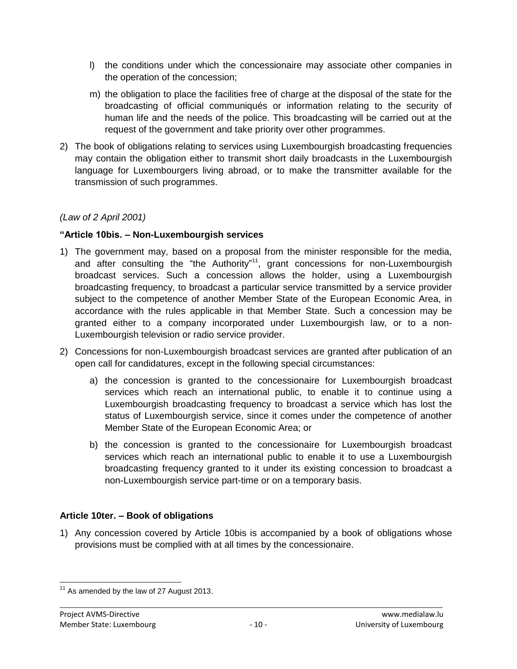- l) the conditions under which the concessionaire may associate other companies in the operation of the concession;
- m) the obligation to place the facilities free of charge at the disposal of the state for the broadcasting of official communiqués or information relating to the security of human life and the needs of the police. This broadcasting will be carried out at the request of the government and take priority over other programmes.
- 2) The book of obligations relating to services using Luxembourgish broadcasting frequencies may contain the obligation either to transmit short daily broadcasts in the Luxembourgish language for Luxembourgers living abroad, or to make the transmitter available for the transmission of such programmes.

### *(Law of 2 April 2001)*

### **"Article 10bis. – Non-Luxembourgish services**

- 1) The government may, based on a proposal from the minister responsible for the media, and after consulting the "the Authority"<sup>11</sup>, grant concessions for non-Luxembourgish broadcast services. Such a concession allows the holder, using a Luxembourgish broadcasting frequency, to broadcast a particular service transmitted by a service provider subject to the competence of another Member State of the European Economic Area, in accordance with the rules applicable in that Member State. Such a concession may be granted either to a company incorporated under Luxembourgish law, or to a non-Luxembourgish television or radio service provider.
- 2) Concessions for non-Luxembourgish broadcast services are granted after publication of an open call for candidatures, except in the following special circumstances:
	- a) the concession is granted to the concessionaire for Luxembourgish broadcast services which reach an international public, to enable it to continue using a Luxembourgish broadcasting frequency to broadcast a service which has lost the status of Luxembourgish service, since it comes under the competence of another Member State of the European Economic Area; or
	- b) the concession is granted to the concessionaire for Luxembourgish broadcast services which reach an international public to enable it to use a Luxembourgish broadcasting frequency granted to it under its existing concession to broadcast a non-Luxembourgish service part-time or on a temporary basis.

# **Article 10ter. – Book of obligations**

1) Any concession covered by Article 10bis is accompanied by a book of obligations whose provisions must be complied with at all times by the concessionaire.

 $\overline{a}$  $11$  As amended by the law of 27 August 2013.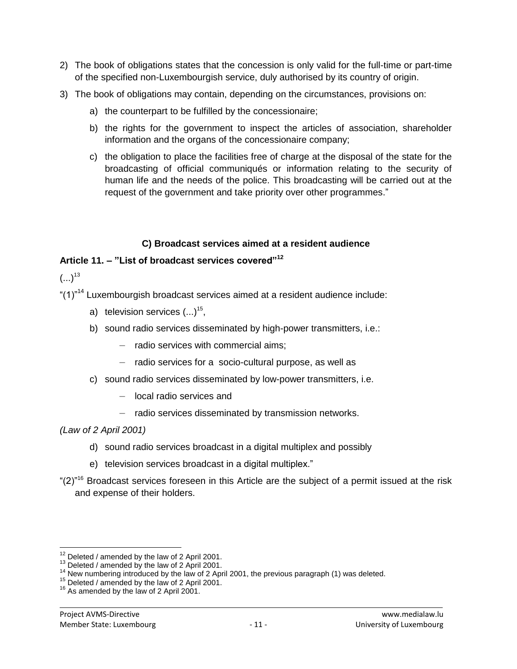- 2) The book of obligations states that the concession is only valid for the full-time or part-time of the specified non-Luxembourgish service, duly authorised by its country of origin.
- 3) The book of obligations may contain, depending on the circumstances, provisions on:
	- a) the counterpart to be fulfilled by the concessionaire;
	- b) the rights for the government to inspect the articles of association, shareholder information and the organs of the concessionaire company;
	- c) the obligation to place the facilities free of charge at the disposal of the state for the broadcasting of official communiqués or information relating to the security of human life and the needs of the police. This broadcasting will be carried out at the request of the government and take priority over other programmes."

# **C) Broadcast services aimed at a resident audience**

# **Article 11. – "List of broadcast services covered"<sup>12</sup>**

 $(...)^{13}$ 

"(1)"<sup>14</sup> Luxembourgish broadcast services aimed at a resident audience include:

- a) television services  $(...)^{15}$ ,
- b) sound radio services disseminated by high-power transmitters, i.e.:
	- radio services with commercial aims;
	- radio services for a socio-cultural purpose, as well as
- c) sound radio services disseminated by low-power transmitters, i.e.
	- local radio services and
	- radio services disseminated by transmission networks.

*(Law of 2 April 2001)*

- d) sound radio services broadcast in a digital multiplex and possibly
- e) television services broadcast in a digital multiplex."
- " $(2)$ "<sup>16</sup> Broadcast services foreseen in this Article are the subject of a permit issued at the risk and expense of their holders.

 $\overline{a}$  $12$  Deleted / amended by the law of 2 April 2001.

<sup>&</sup>lt;sup>13</sup> Deleted / amended by the law of 2 April 2001.

<sup>&</sup>lt;sup>14</sup> New numbering introduced by the law of 2 April 2001, the previous paragraph (1) was deleted.

<sup>&</sup>lt;sup>15</sup> Deleted / amended by the law of 2 April 2001.

<sup>&</sup>lt;sup>16</sup> As amended by the law of 2 April 2001.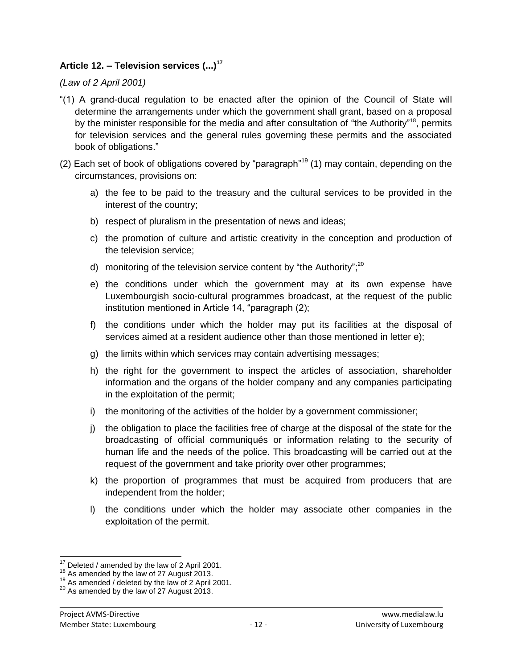# **Article 12. – Television services (...)<sup>17</sup>**

#### *(Law of 2 April 2001)*

- "(1) A grand-ducal regulation to be enacted after the opinion of the Council of State will determine the arrangements under which the government shall grant, based on a proposal by the minister responsible for the media and after consultation of "the Authority"<sup>18</sup>, permits for television services and the general rules governing these permits and the associated book of obligations."
- (2) Each set of book of obligations covered by "paragraph"<sup>19</sup> (1) may contain, depending on the circumstances, provisions on:
	- a) the fee to be paid to the treasury and the cultural services to be provided in the interest of the country;
	- b) respect of pluralism in the presentation of news and ideas;
	- c) the promotion of culture and artistic creativity in the conception and production of the television service;
	- d) monitoring of the television service content by "the Authority"; $20$
	- e) the conditions under which the government may at its own expense have Luxembourgish socio-cultural programmes broadcast, at the request of the public institution mentioned in Article 14, "paragraph (2);
	- f) the conditions under which the holder may put its facilities at the disposal of services aimed at a resident audience other than those mentioned in letter e);
	- g) the limits within which services may contain advertising messages;
	- h) the right for the government to inspect the articles of association, shareholder information and the organs of the holder company and any companies participating in the exploitation of the permit;
	- i) the monitoring of the activities of the holder by a government commissioner;
	- j) the obligation to place the facilities free of charge at the disposal of the state for the broadcasting of official communiqués or information relating to the security of human life and the needs of the police. This broadcasting will be carried out at the request of the government and take priority over other programmes;
	- k) the proportion of programmes that must be acquired from producers that are independent from the holder;
	- l) the conditions under which the holder may associate other companies in the exploitation of the permit.

 $\overline{a}$  $17^7$  Deleted / amended by the law of 2 April 2001.

<sup>&</sup>lt;sup>18</sup> As amended by the law of 27 August 2013.

<sup>&</sup>lt;sup>19</sup> As amended / deleted by the law of 2 April 2001.

<sup>&</sup>lt;sup>20</sup> As amended by the law of 27 August 2013.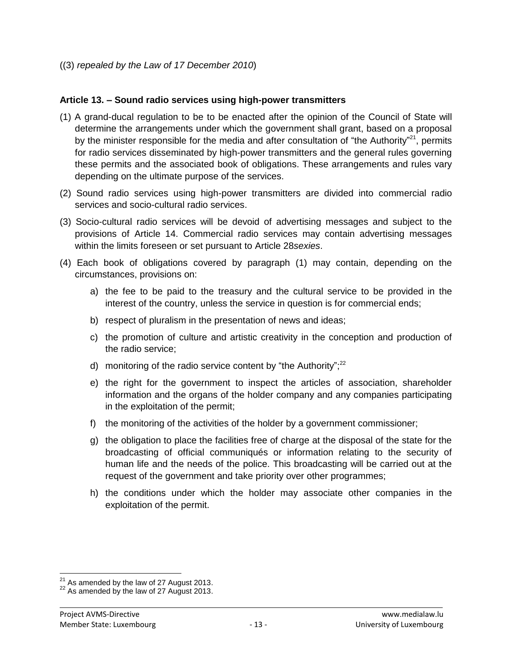((3) *repealed by the Law of 17 December 2010*)

### **Article 13. – Sound radio services using high-power transmitters**

- (1) A grand-ducal regulation to be to be enacted after the opinion of the Council of State will determine the arrangements under which the government shall grant, based on a proposal by the minister responsible for the media and after consultation of "the Authority"<sup>21</sup>, permits for radio services disseminated by high-power transmitters and the general rules governing these permits and the associated book of obligations. These arrangements and rules vary depending on the ultimate purpose of the services.
- (2) Sound radio services using high-power transmitters are divided into commercial radio services and socio-cultural radio services.
- (3) Socio-cultural radio services will be devoid of advertising messages and subject to the provisions of Article 14. Commercial radio services may contain advertising messages within the limits foreseen or set pursuant to Article 28*sexies*.
- (4) Each book of obligations covered by paragraph (1) may contain, depending on the circumstances, provisions on:
	- a) the fee to be paid to the treasury and the cultural service to be provided in the interest of the country, unless the service in question is for commercial ends;
	- b) respect of pluralism in the presentation of news and ideas;
	- c) the promotion of culture and artistic creativity in the conception and production of the radio service;
	- d) monitoring of the radio service content by "the Authority"; $22$
	- e) the right for the government to inspect the articles of association, shareholder information and the organs of the holder company and any companies participating in the exploitation of the permit;
	- f) the monitoring of the activities of the holder by a government commissioner;
	- g) the obligation to place the facilities free of charge at the disposal of the state for the broadcasting of official communiqués or information relating to the security of human life and the needs of the police. This broadcasting will be carried out at the request of the government and take priority over other programmes;
	- h) the conditions under which the holder may associate other companies in the exploitation of the permit.

 $\overline{\phantom{a}}$ 

 $^{21}$  As amended by the law of 27 August 2013.

 $^{22}$  As amended by the law of 27 August 2013.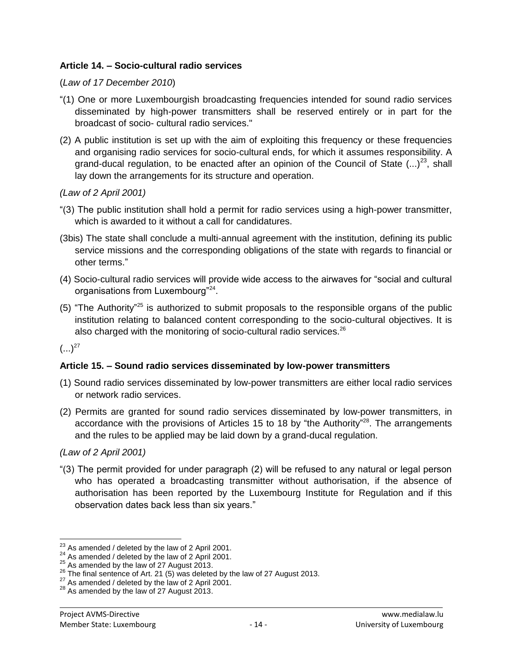### **Article 14. – Socio-cultural radio services**

#### (*Law of 17 December 2010*)

- "(1) One or more Luxembourgish broadcasting frequencies intended for sound radio services disseminated by high-power transmitters shall be reserved entirely or in part for the broadcast of socio- cultural radio services."
- (2) A public institution is set up with the aim of exploiting this frequency or these frequencies and organising radio services for socio-cultural ends, for which it assumes responsibility. A grand-ducal regulation, to be enacted after an opinion of the Council of State  $(...)^{23}$ , shall lay down the arrangements for its structure and operation.

### *(Law of 2 April 2001)*

- "(3) The public institution shall hold a permit for radio services using a high-power transmitter, which is awarded to it without a call for candidatures.
- (3bis) The state shall conclude a multi-annual agreement with the institution, defining its public service missions and the corresponding obligations of the state with regards to financial or other terms."
- (4) Socio-cultural radio services will provide wide access to the airwaves for "social and cultural organisations from Luxembourg"<sup>24</sup>.
- (5) "The Authority"<sup>25</sup> is authorized to submit proposals to the responsible organs of the public institution relating to balanced content corresponding to the socio-cultural objectives. It is also charged with the monitoring of socio-cultural radio services.<sup>26</sup>

 $(...)^{27}$ 

# **Article 15. – Sound radio services disseminated by low-power transmitters**

- (1) Sound radio services disseminated by low-power transmitters are either local radio services or network radio services.
- (2) Permits are granted for sound radio services disseminated by low-power transmitters, in accordance with the provisions of Articles 15 to 18 by "the Authority"<sup>28</sup>. The arrangements and the rules to be applied may be laid down by a grand-ducal regulation.

*(Law of 2 April 2001)*

"(3) The permit provided for under paragraph (2) will be refused to any natural or legal person who has operated a broadcasting transmitter without authorisation, if the absence of authorisation has been reported by the Luxembourg Institute for Regulation and if this observation dates back less than six years."

 $\overline{a}$  $^{23}$  As amended / deleted by the law of 2 April 2001.

 $^{24}$  As amended / deleted by the law of 2 April 2001.

 $^{25}$  As amended by the law of 27 August 2013.

<sup>&</sup>lt;sup>26</sup> The final sentence of Art. 21 (5) was deleted by the law of 27 August 2013.

<sup>&</sup>lt;sup>27</sup> As amended / deleted by the law of 2 April 2001.

<sup>&</sup>lt;sup>28</sup> As amended by the law of 27 August 2013.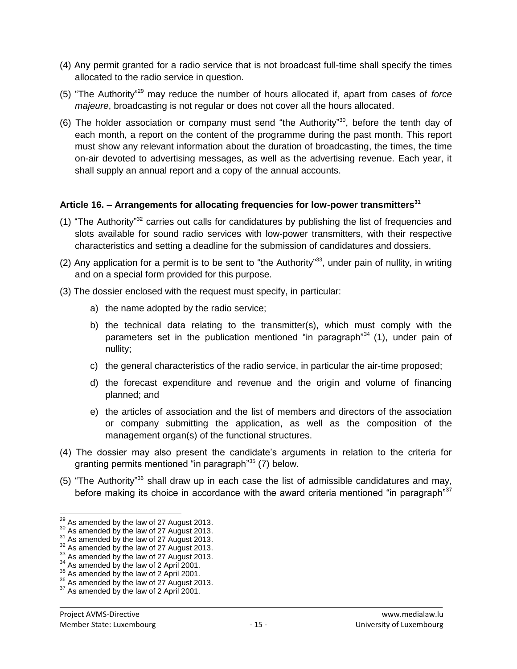- (4) Any permit granted for a radio service that is not broadcast full-time shall specify the times allocated to the radio service in question.
- (5) "The Authority" <sup>29</sup> may reduce the number of hours allocated if, apart from cases of *force majeure*, broadcasting is not regular or does not cover all the hours allocated.
- (6) The holder association or company must send "the Authority" <sup>30</sup>, before the tenth day of each month, a report on the content of the programme during the past month. This report must show any relevant information about the duration of broadcasting, the times, the time on-air devoted to advertising messages, as well as the advertising revenue. Each year, it shall supply an annual report and a copy of the annual accounts.

### **Article 16. – Arrangements for allocating frequencies for low-power transmitters<sup>31</sup>**

- (1) "The Authority"<sup>32</sup> carries out calls for candidatures by publishing the list of frequencies and slots available for sound radio services with low-power transmitters, with their respective characteristics and setting a deadline for the submission of candidatures and dossiers.
- (2) Any application for a permit is to be sent to "the Authority"<sup>33</sup>, under pain of nullity, in writing and on a special form provided for this purpose.
- (3) The dossier enclosed with the request must specify, in particular:
	- a) the name adopted by the radio service;
	- b) the technical data relating to the transmitter(s), which must comply with the parameters set in the publication mentioned "in paragraph" $34$  (1), under pain of nullity;
	- c) the general characteristics of the radio service, in particular the air-time proposed;
	- d) the forecast expenditure and revenue and the origin and volume of financing planned; and
	- e) the articles of association and the list of members and directors of the association or company submitting the application, as well as the composition of the management organ(s) of the functional structures.
- (4) The dossier may also present the candidate's arguments in relation to the criteria for granting permits mentioned "in paragraph"<sup>35</sup> (7) below.
- (5) "The Authority"<sup>36</sup> shall draw up in each case the list of admissible candidatures and may, before making its choice in accordance with the award criteria mentioned "in paragraph"<sup>37</sup>

 $\overline{a}$ 

 $^{29}$  As amended by the law of 27 August 2013.

 $30<sup>30</sup>$  As amended by the law of 27 August 2013.

<sup>&</sup>lt;sup>31</sup> As amended by the law of 27 August 2013.

 $32$  As amended by the law of 27 August 2013.

 $33$  As amended by the law of 27 August 2013.

<sup>&</sup>lt;sup>34</sup> As amended by the law of 2 April 2001.

 $35$  As amended by the law of 2 April 2001.

<sup>&</sup>lt;sup>36</sup> As amended by the law of 27 August 2013.

<sup>&</sup>lt;sup>37</sup> As amended by the law of 2 April 2001.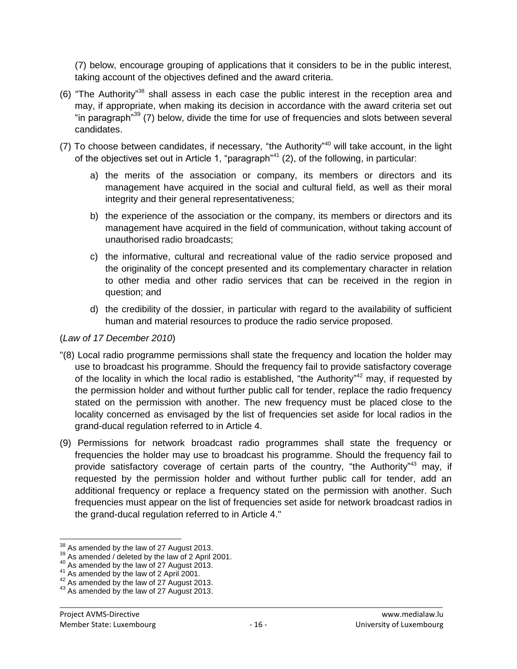(7) below, encourage grouping of applications that it considers to be in the public interest, taking account of the objectives defined and the award criteria.

- (6) "The Authority" <sup>38</sup> shall assess in each case the public interest in the reception area and may, if appropriate, when making its decision in accordance with the award criteria set out "in paragraph<sup>39</sup> (7) below, divide the time for use of frequencies and slots between several candidates.
- (7) To choose between candidates, if necessary, "the Authority" <sup>40</sup> will take account, in the light of the objectives set out in Article 1, "paragraph"<sup>41</sup> (2), of the following, in particular:
	- a) the merits of the association or company, its members or directors and its management have acquired in the social and cultural field, as well as their moral integrity and their general representativeness;
	- b) the experience of the association or the company, its members or directors and its management have acquired in the field of communication, without taking account of unauthorised radio broadcasts;
	- c) the informative, cultural and recreational value of the radio service proposed and the originality of the concept presented and its complementary character in relation to other media and other radio services that can be received in the region in question; and
	- d) the credibility of the dossier, in particular with regard to the availability of sufficient human and material resources to produce the radio service proposed.

### (*Law of 17 December 2010*)

- "(8) Local radio programme permissions shall state the frequency and location the holder may use to broadcast his programme. Should the frequency fail to provide satisfactory coverage of the locality in which the local radio is established, "the Authority"<sup>42</sup> may, if requested by the permission holder and without further public call for tender, replace the radio frequency stated on the permission with another. The new frequency must be placed close to the locality concerned as envisaged by the list of frequencies set aside for local radios in the grand-ducal regulation referred to in Article 4.
- (9) Permissions for network broadcast radio programmes shall state the frequency or frequencies the holder may use to broadcast his programme. Should the frequency fail to provide satisfactory coverage of certain parts of the country, "the Authority"<sup>43</sup> may, if requested by the permission holder and without further public call for tender, add an additional frequency or replace a frequency stated on the permission with another. Such frequencies must appear on the list of frequencies set aside for network broadcast radios in the grand-ducal regulation referred to in Article 4."

 $\overline{a}$  $38<sup>38</sup>$  As amended by the law of 27 August 2013.

As amended / deleted by the law of 2. April 2001.

<sup>40</sup> As amended by the law of 27 August 2013.

 $41$  As amended by the law of 2 April 2001.

 $42<sup>42</sup>$  As amended by the law of 27 August 2013.

<sup>43</sup> As amended by the law of 27 August 2013.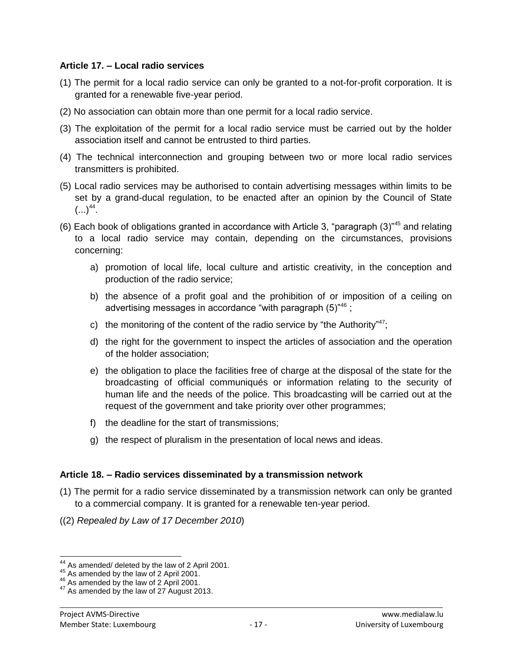#### **Article 17. – Local radio services**

- (1) The permit for a local radio service can only be granted to a not-for-profit corporation. It is granted for a renewable five-year period.
- (2) No association can obtain more than one permit for a local radio service.
- (3) The exploitation of the permit for a local radio service must be carried out by the holder association itself and cannot be entrusted to third parties.
- (4) The technical interconnection and grouping between two or more local radio services transmitters is prohibited.
- (5) Local radio services may be authorised to contain advertising messages within limits to be set by a grand-ducal regulation, to be enacted after an opinion by the Council of State  $(...)^{44}$ .
- (6) Each book of obligations granted in accordance with Article 3, "paragraph (3)"<sup>45</sup> and relating to a local radio service may contain, depending on the circumstances, provisions concerning:
	- a) promotion of local life, local culture and artistic creativity, in the conception and production of the radio service;
	- b) the absence of a profit goal and the prohibition of or imposition of a ceiling on advertising messages in accordance "with paragraph (5)"<sup>46</sup> :
	- c) the monitoring of the content of the radio service by "the Authority"<sup>47</sup>;
	- d) the right for the government to inspect the articles of association and the operation of the holder association;
	- e) the obligation to place the facilities free of charge at the disposal of the state for the broadcasting of official communiqués or information relating to the security of human life and the needs of the police. This broadcasting will be carried out at the request of the government and take priority over other programmes;
	- f) the deadline for the start of transmissions;
	- g) the respect of pluralism in the presentation of local news and ideas.

# **Article 18. – Radio services disseminated by a transmission network**

- (1) The permit for a radio service disseminated by a transmission network can only be granted to a commercial company. It is granted for a renewable ten-year period.
- ((2) *Repealed by Law of 17 December 2010*)

 $\overline{a}$ 

 $44$  As amended/ deleted by the law of 2 April 2001.

 $^{45}$  As amended by the law of 2 April 2001.

<sup>46</sup> As amended by the law of 2 April 2001.

<sup>&</sup>lt;sup>47</sup> As amended by the law of 27 August 2013.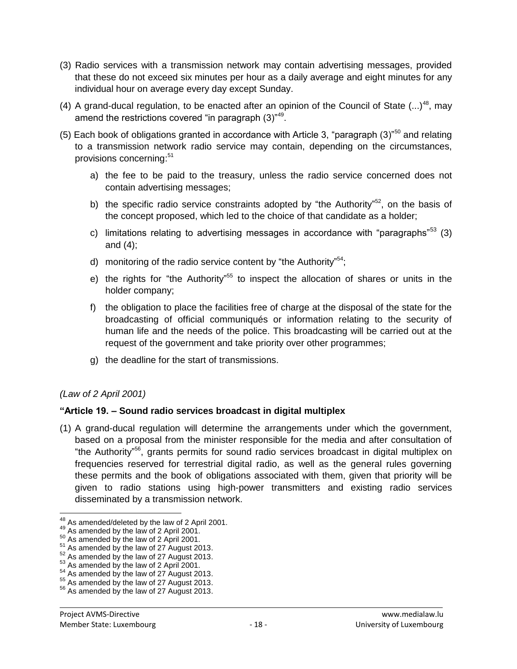- (3) Radio services with a transmission network may contain advertising messages, provided that these do not exceed six minutes per hour as a daily average and eight minutes for any individual hour on average every day except Sunday.
- (4) A grand-ducal regulation, to be enacted after an opinion of the Council of State  $(...)^{48}$ , may amend the restrictions covered "in paragraph (3)"<sup>49</sup>.
- (5) Each book of obligations granted in accordance with Article 3, "paragraph (3)"<sup>50</sup> and relating to a transmission network radio service may contain, depending on the circumstances, provisions concerning:<sup>51</sup>
	- a) the fee to be paid to the treasury, unless the radio service concerned does not contain advertising messages;
	- b) the specific radio service constraints adopted by "the Authority"<sup>52</sup>, on the basis of the concept proposed, which led to the choice of that candidate as a holder;
	- c) limitations relating to advertising messages in accordance with "paragraphs"<sup>53</sup> (3) and (4);
	- d) monitoring of the radio service content by "the Authority"<sup>54</sup>;
	- e) the rights for "the Authority"<sup>55</sup> to inspect the allocation of shares or units in the holder company;
	- f) the obligation to place the facilities free of charge at the disposal of the state for the broadcasting of official communiqués or information relating to the security of human life and the needs of the police. This broadcasting will be carried out at the request of the government and take priority over other programmes;
	- g) the deadline for the start of transmissions.

# *(Law of 2 April 2001)*

# **"Article 19. – Sound radio services broadcast in digital multiplex**

(1) A grand-ducal regulation will determine the arrangements under which the government, based on a proposal from the minister responsible for the media and after consultation of "the Authority" <sup>56</sup>, grants permits for sound radio services broadcast in digital multiplex on frequencies reserved for terrestrial digital radio, as well as the general rules governing these permits and the book of obligations associated with them, given that priority will be given to radio stations using high-power transmitters and existing radio services disseminated by a transmission network.

 $\overline{a}$  $^{48}$  As amended/deleted by the law of 2 April 2001.

 $49$  As amended by the law of 2 April 2001.

<sup>&</sup>lt;sup>50</sup> As amended by the law of 2 April 2001.

 $51$  As amended by the law of 27 August 2013.

 $52$  As amended by the law of 27 August 2013.

 $53$  As amended by the law of 2 April 2001.

 $54$  As amended by the law of 27 August 2013.

<sup>55</sup> As amended by the law of 27 August 2013.

<sup>&</sup>lt;sup>56</sup> As amended by the law of 27 August 2013.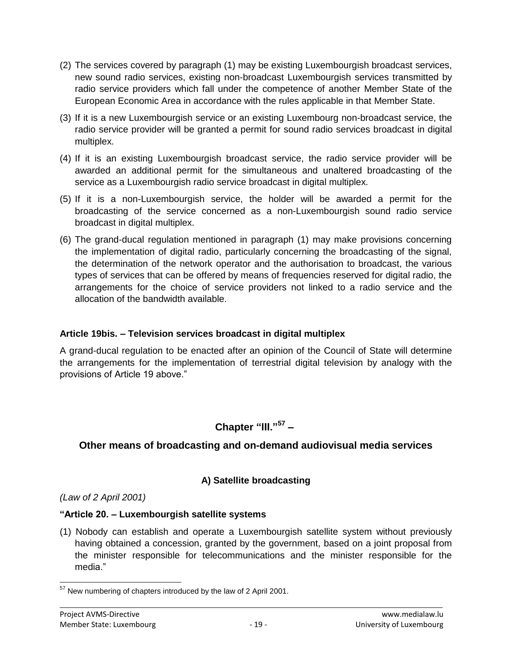- (2) The services covered by paragraph (1) may be existing Luxembourgish broadcast services, new sound radio services, existing non-broadcast Luxembourgish services transmitted by radio service providers which fall under the competence of another Member State of the European Economic Area in accordance with the rules applicable in that Member State.
- (3) If it is a new Luxembourgish service or an existing Luxembourg non-broadcast service, the radio service provider will be granted a permit for sound radio services broadcast in digital multiplex.
- (4) If it is an existing Luxembourgish broadcast service, the radio service provider will be awarded an additional permit for the simultaneous and unaltered broadcasting of the service as a Luxembourgish radio service broadcast in digital multiplex.
- (5) If it is a non-Luxembourgish service, the holder will be awarded a permit for the broadcasting of the service concerned as a non-Luxembourgish sound radio service broadcast in digital multiplex.
- (6) The grand-ducal regulation mentioned in paragraph (1) may make provisions concerning the implementation of digital radio, particularly concerning the broadcasting of the signal, the determination of the network operator and the authorisation to broadcast, the various types of services that can be offered by means of frequencies reserved for digital radio, the arrangements for the choice of service providers not linked to a radio service and the allocation of the bandwidth available.

### **Article 19bis. – Television services broadcast in digital multiplex**

A grand-ducal regulation to be enacted after an opinion of the Council of State will determine the arrangements for the implementation of terrestrial digital television by analogy with the provisions of Article 19 above."

# **Chapter "lII."<sup>57</sup> –**

# **Other means of broadcasting and on-demand audiovisual media services**

# **A) Satellite broadcasting**

# *(Law of 2 April 2001)*

### **"Article 20. – Luxembourgish satellite systems**

(1) Nobody can establish and operate a Luxembourgish satellite system without previously having obtained a concession, granted by the government, based on a joint proposal from the minister responsible for telecommunications and the minister responsible for the media."

 $\overline{a}$  $57$  New numbering of chapters introduced by the law of 2 April 2001.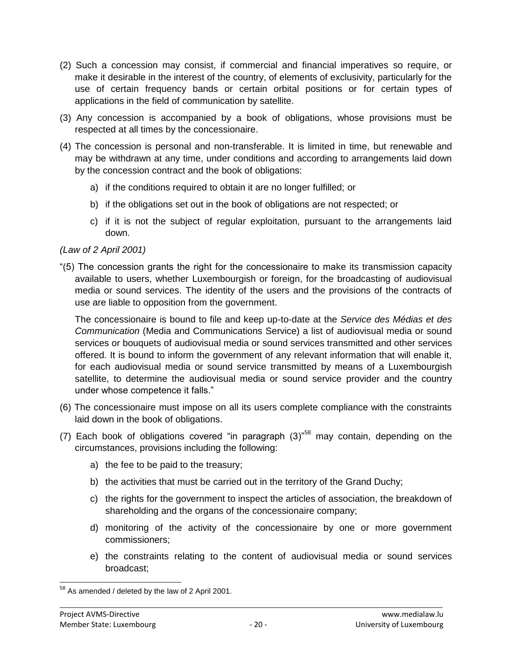- (2) Such a concession may consist, if commercial and financial imperatives so require, or make it desirable in the interest of the country, of elements of exclusivity, particularly for the use of certain frequency bands or certain orbital positions or for certain types of applications in the field of communication by satellite.
- (3) Any concession is accompanied by a book of obligations, whose provisions must be respected at all times by the concessionaire.
- (4) The concession is personal and non-transferable. It is limited in time, but renewable and may be withdrawn at any time, under conditions and according to arrangements laid down by the concession contract and the book of obligations:
	- a) if the conditions required to obtain it are no longer fulfilled; or
	- b) if the obligations set out in the book of obligations are not respected; or
	- c) if it is not the subject of regular exploitation, pursuant to the arrangements laid down.

# *(Law of 2 April 2001)*

"(5) The concession grants the right for the concessionaire to make its transmission capacity available to users, whether Luxembourgish or foreign, for the broadcasting of audiovisual media or sound services. The identity of the users and the provisions of the contracts of use are liable to opposition from the government.

The concessionaire is bound to file and keep up-to-date at the *Service des Médias et des Communication* (Media and Communications Service) a list of audiovisual media or sound services or bouquets of audiovisual media or sound services transmitted and other services offered. It is bound to inform the government of any relevant information that will enable it, for each audiovisual media or sound service transmitted by means of a Luxembourgish satellite, to determine the audiovisual media or sound service provider and the country under whose competence it falls."

- (6) The concessionaire must impose on all its users complete compliance with the constraints laid down in the book of obligations.
- (7) Each book of obligations covered "in paragraph  $(3)$ "<sup>58</sup> may contain, depending on the circumstances, provisions including the following:
	- a) the fee to be paid to the treasury;
	- b) the activities that must be carried out in the territory of the Grand Duchy;
	- c) the rights for the government to inspect the articles of association, the breakdown of shareholding and the organs of the concessionaire company;
	- d) monitoring of the activity of the concessionaire by one or more government commissioners;
	- e) the constraints relating to the content of audiovisual media or sound services broadcast;

 $\overline{a}$  $58$  As amended / deleted by the law of 2 April 2001.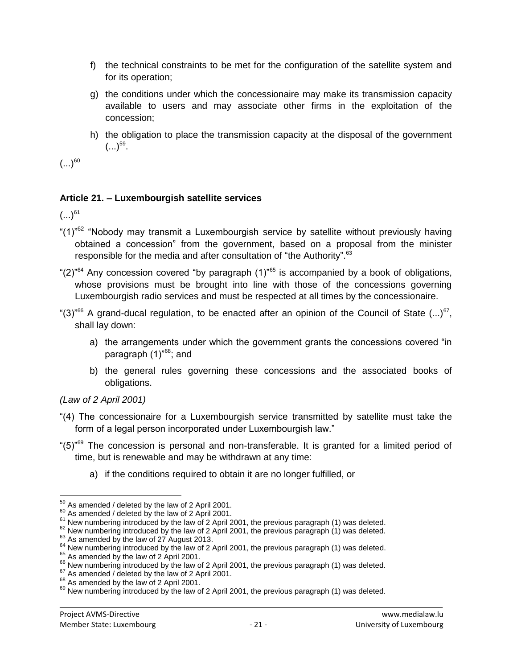- f) the technical constraints to be met for the configuration of the satellite system and for its operation;
- g) the conditions under which the concessionaire may make its transmission capacity available to users and may associate other firms in the exploitation of the concession;
- h) the obligation to place the transmission capacity at the disposal of the government  $(...)^{59}.$

 $(...)^{60}$ 

# **Article 21. – Luxembourgish satellite services**

 $(...)^{61}$ 

- "(1)<sup>"62</sup> "Nobody may transmit a Luxembourgish service by satellite without previously having obtained a concession" from the government, based on a proposal from the minister responsible for the media and after consultation of "the Authority".<sup>63</sup>
- " $(2)$ "<sup>64</sup> Any concession covered "by paragraph  $(1)$ "<sup>65</sup> is accompanied by a book of obligations, whose provisions must be brought into line with those of the concessions governing Luxembourgish radio services and must be respected at all times by the concessionaire.
- "(3)"<sup>66</sup> A grand-ducal regulation, to be enacted after an opinion of the Council of State  $(...)^{67}$ , shall lay down:
	- a) the arrangements under which the government grants the concessions covered "in paragraph  $(1)^{68}$ ; and
	- b) the general rules governing these concessions and the associated books of obligations.

*(Law of 2 April 2001)*

- "(4) The concessionaire for a Luxembourgish service transmitted by satellite must take the form of a legal person incorporated under Luxembourgish law."
- "(5)<sup>"69</sup> The concession is personal and non-transferable. It is granted for a limited period of time, but is renewable and may be withdrawn at any time:
	- a) if the conditions required to obtain it are no longer fulfilled, or

 $\overline{a}$  $59<sup>59</sup>$  As amended / deleted by the law of 2 April 2001.

 $60$  As amended / deleted by the law of 2 April 2001.

<sup>&</sup>lt;sup>61</sup> New numbering introduced by the law of 2 April 2001, the previous paragraph (1) was deleted.

 $62$  New numbering introduced by the law of 2 April 2001, the previous paragraph (1) was deleted.

 $63$  As amended by the law of 27 August 2013.

 $64$  New numbering introduced by the law of 2 April 2001, the previous paragraph (1) was deleted.

<sup>&</sup>lt;sup>65</sup> As amended by the law of 2 April 2001.

<sup>&</sup>lt;sup>66</sup> New numbering introduced by the law of 2 April 2001, the previous paragraph (1) was deleted.

As amended / deleted by the law of 2 April 2001.

<sup>&</sup>lt;sup>68</sup> As amended by the law of 2 April 2001.

 $69$  New numbering introduced by the law of 2 April 2001, the previous paragraph (1) was deleted.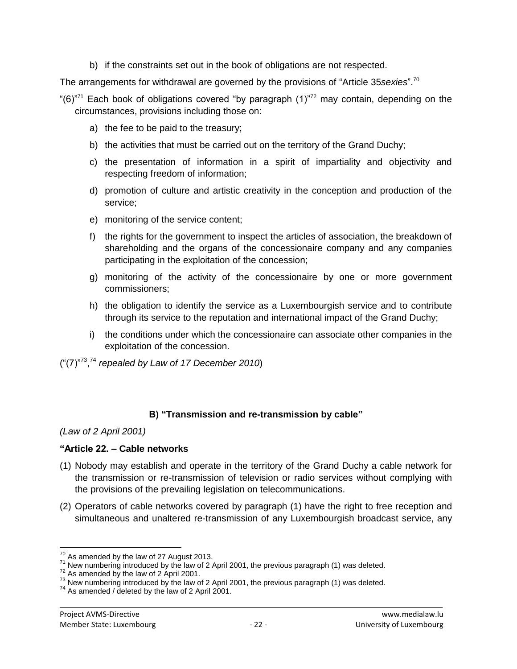b) if the constraints set out in the book of obligations are not respected.

The arrangements for withdrawal are governed by the provisions of "Article 35*sexies*". 70

- "(6) $n<sup>77</sup>$  Each book of obligations covered "by paragraph (1) $n<sup>77</sup>$  may contain, depending on the circumstances, provisions including those on:
	- a) the fee to be paid to the treasury;
	- b) the activities that must be carried out on the territory of the Grand Duchy;
	- c) the presentation of information in a spirit of impartiality and objectivity and respecting freedom of information;
	- d) promotion of culture and artistic creativity in the conception and production of the service;
	- e) monitoring of the service content;
	- f) the rights for the government to inspect the articles of association, the breakdown of shareholding and the organs of the concessionaire company and any companies participating in the exploitation of the concession;
	- g) monitoring of the activity of the concessionaire by one or more government commissioners;
	- h) the obligation to identify the service as a Luxembourgish service and to contribute through its service to the reputation and international impact of the Grand Duchy;
	- i) the conditions under which the concessionaire can associate other companies in the exploitation of the concession.
- ("(7)"<sup>73</sup> , <sup>74</sup> *repealed by Law of 17 December 2010*)

# **B) "Transmission and re-transmission by cable"**

# *(Law of 2 April 2001)*

# **"Article 22. – Cable networks**

- (1) Nobody may establish and operate in the territory of the Grand Duchy a cable network for the transmission or re-transmission of television or radio services without complying with the provisions of the prevailing legislation on telecommunications.
- (2) Operators of cable networks covered by paragraph (1) have the right to free reception and simultaneous and unaltered re-transmission of any Luxembourgish broadcast service, any

 $\overline{a}$  $70$  As amended by the law of 27 August 2013.

 $\frac{71}{2}$  New numbering introduced by the law of 2 April 2001, the previous paragraph (1) was deleted.

 $72$  As amended by the law of 2 April 2001.

 $^{73}$  New numbering introduced by the law of 2 April 2001, the previous paragraph (1) was deleted.

 $74$  As amended / deleted by the law of 2 April 2001.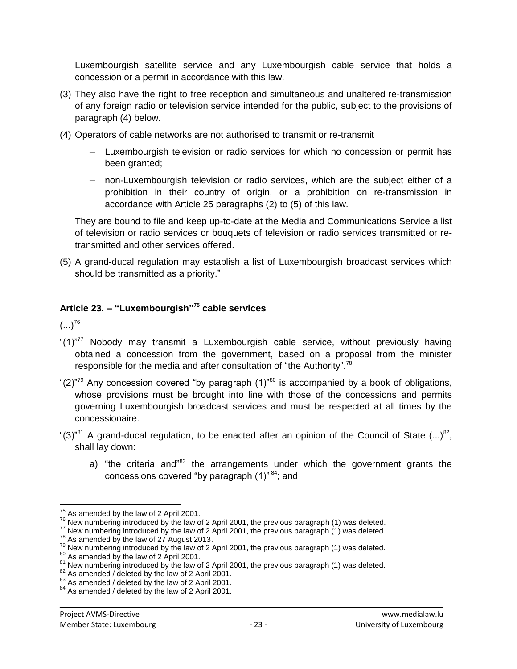Luxembourgish satellite service and any Luxembourgish cable service that holds a concession or a permit in accordance with this law.

- (3) They also have the right to free reception and simultaneous and unaltered re-transmission of any foreign radio or television service intended for the public, subject to the provisions of paragraph (4) below.
- (4) Operators of cable networks are not authorised to transmit or re-transmit
	- Luxembourgish television or radio services for which no concession or permit has been granted;
	- non-Luxembourgish television or radio services, which are the subject either of a prohibition in their country of origin, or a prohibition on re-transmission in accordance with Article 25 paragraphs (2) to (5) of this law.

They are bound to file and keep up-to-date at the Media and Communications Service a list of television or radio services or bouquets of television or radio services transmitted or retransmitted and other services offered.

(5) A grand-ducal regulation may establish a list of Luxembourgish broadcast services which should be transmitted as a priority."

# **Article 23. – "Luxembourgish"<sup>75</sup> cable services**

 $(...)^{76}$ 

- " $(1)^{n77}$  Nobody may transmit a Luxembourgish cable service, without previously having obtained a concession from the government, based on a proposal from the minister responsible for the media and after consultation of "the Authority".<sup>78</sup>
- "(2) $^{79}$  Any concession covered "by paragraph (1) $^{780}$  is accompanied by a book of obligations, whose provisions must be brought into line with those of the concessions and permits governing Luxembourgish broadcast services and must be respected at all times by the concessionaire.
- "(3)"<sup>81</sup> A grand-ducal regulation, to be enacted after an opinion of the Council of State  $(...)$ <sup>82</sup>, shall lay down:
	- a) "the criteria and"<sup>83</sup> the arrangements under which the government grants the concessions covered "by paragraph (1)" <sup>84</sup>; and

 $\overline{a}$  $75$  As amended by the law of 2 April 2001.

 $76$  New numbering introduced by the law of 2 April 2001, the previous paragraph (1) was deleted.

 $^{77}$  New numbering introduced by the law of 2 April 2001, the previous paragraph (1) was deleted.

<sup>&</sup>lt;sup>78</sup> As amended by the law of 27 August 2013.

 $79$  New numbering introduced by the law of 2 April 2001, the previous paragraph (1) was deleted.

<sup>&</sup>lt;sup>80</sup> As amended by the law of 2 April 2001.

 $81$  New numbering introduced by the law of 2 April 2001, the previous paragraph (1) was deleted.

<sup>82</sup> As amended / deleted by the law of 2 April 2001.

<sup>&</sup>lt;sup>83</sup> As amended / deleted by the law of 2 April 2001.

<sup>&</sup>lt;sup>84</sup> As amended / deleted by the law of 2 April 2001.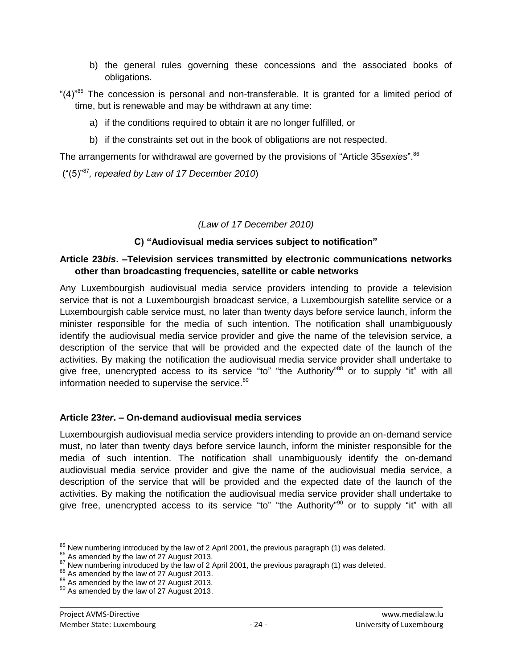- b) the general rules governing these concessions and the associated books of obligations.
- " $(4)$ <sup>"85</sup> The concession is personal and non-transferable. It is granted for a limited period of time, but is renewable and may be withdrawn at any time:
	- a) if the conditions required to obtain it are no longer fulfilled, or
	- b) if the constraints set out in the book of obligations are not respected.

The arrangements for withdrawal are governed by the provisions of "Article 35*sexies*". 86

("(5)"<sup>87</sup>*, repealed by Law of 17 December 2010*)

### *(Law of 17 December 2010)*

# **C) "Audiovisual media services subject to notification"**

### **Article 23***bis***. –Television services transmitted by electronic communications networks other than broadcasting frequencies, satellite or cable networks**

Any Luxembourgish audiovisual media service providers intending to provide a television service that is not a Luxembourgish broadcast service, a Luxembourgish satellite service or a Luxembourgish cable service must, no later than twenty days before service launch, inform the minister responsible for the media of such intention. The notification shall unambiguously identify the audiovisual media service provider and give the name of the television service, a description of the service that will be provided and the expected date of the launch of the activities. By making the notification the audiovisual media service provider shall undertake to give free, unencrypted access to its service "to" "the Authority"<sup>88</sup> or to supply "it" with all information needed to supervise the service.<sup>89</sup>

# **Article 23***ter***. – On-demand audiovisual media services**

Luxembourgish audiovisual media service providers intending to provide an on-demand service must, no later than twenty days before service launch, inform the minister responsible for the media of such intention. The notification shall unambiguously identify the on-demand audiovisual media service provider and give the name of the audiovisual media service, a description of the service that will be provided and the expected date of the launch of the activities. By making the notification the audiovisual media service provider shall undertake to give free, unencrypted access to its service "to" "the Authority"<sup>90</sup> or to supply "it" with all

 $\overline{a}$  $\frac{85}{10}$  New numbering introduced by the law of 2 April 2001, the previous paragraph (1) was deleted.

<sup>&</sup>lt;sup>86</sup> As amended by the law of 27 August 2013.

 $87$  New numbering introduced by the law of 2 April 2001, the previous paragraph (1) was deleted.

<sup>88</sup> As amended by the law of 27 August 2013.

<sup>89</sup> As amended by the law of 27 August 2013.

<sup>90</sup> As amended by the law of 27 August 2013.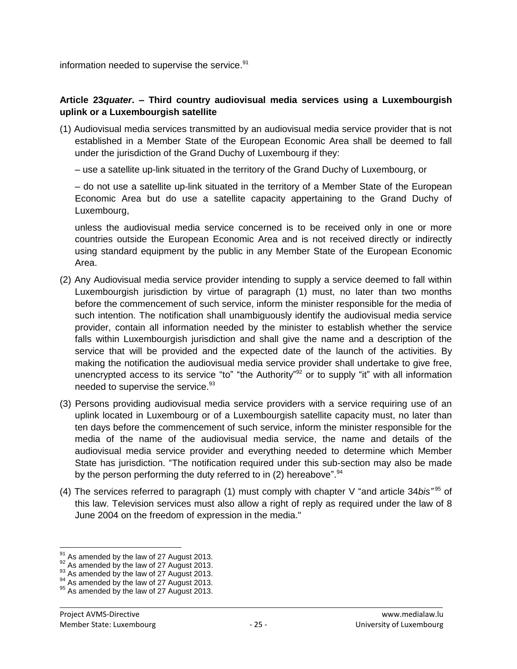information needed to supervise the service.<sup>91</sup>

### **Article 23***quater***. – Third country audiovisual media services using a Luxembourgish uplink or a Luxembourgish satellite**

- (1) Audiovisual media services transmitted by an audiovisual media service provider that is not established in a Member State of the European Economic Area shall be deemed to fall under the jurisdiction of the Grand Duchy of Luxembourg if they:
	- use a satellite up-link situated in the territory of the Grand Duchy of Luxembourg, or

– do not use a satellite up-link situated in the territory of a Member State of the European Economic Area but do use a satellite capacity appertaining to the Grand Duchy of Luxembourg,

unless the audiovisual media service concerned is to be received only in one or more countries outside the European Economic Area and is not received directly or indirectly using standard equipment by the public in any Member State of the European Economic Area.

- (2) Any Audiovisual media service provider intending to supply a service deemed to fall within Luxembourgish jurisdiction by virtue of paragraph (1) must, no later than two months before the commencement of such service, inform the minister responsible for the media of such intention. The notification shall unambiguously identify the audiovisual media service provider, contain all information needed by the minister to establish whether the service falls within Luxembourgish jurisdiction and shall give the name and a description of the service that will be provided and the expected date of the launch of the activities. By making the notification the audiovisual media service provider shall undertake to give free, unencrypted access to its service "to" "the Authority"<sup>92</sup> or to supply "it" with all information needed to supervise the service.<sup>93</sup>
- (3) Persons providing audiovisual media service providers with a service requiring use of an uplink located in Luxembourg or of a Luxembourgish satellite capacity must, no later than ten days before the commencement of such service, inform the minister responsible for the media of the name of the audiovisual media service, the name and details of the audiovisual media service provider and everything needed to determine which Member State has jurisdiction. "The notification required under this sub-section may also be made by the person performing the duty referred to in (2) hereabove".<sup>94</sup>
- (4) The services referred to paragraph (1) must comply with chapter V "and article 34*bis"* <sup>95</sup> of this law. Television services must also allow a right of reply as required under the law of 8 June 2004 on the freedom of expression in the media."

 $\overline{a}$ 

 $<sup>91</sup>$  As amended by the law of 27 August 2013.</sup>

 $92$  As amended by the law of 27 August 2013.

 $93$  As amended by the law of 27 August 2013.

<sup>&</sup>lt;sup>94</sup> As amended by the law of 27 August 2013.

<sup>&</sup>lt;sup>95</sup> As amended by the law of 27 August 2013.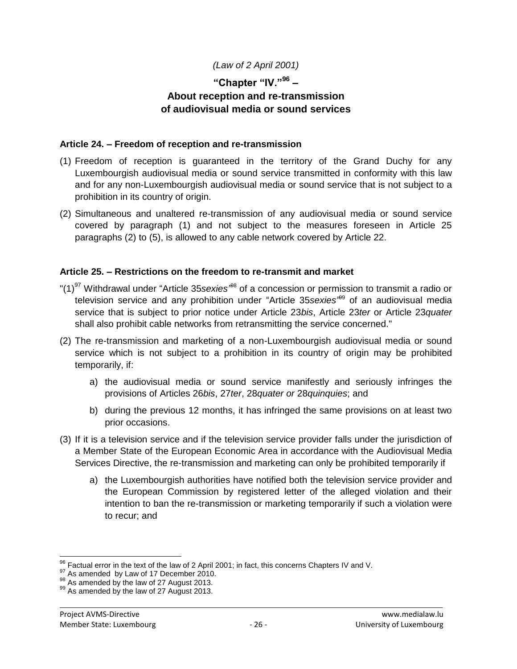# *(Law of 2 April 2001)*

# **"Chapter "IV."<sup>96</sup> – About reception and re-transmission of audiovisual media or sound services**

### **Article 24. – Freedom of reception and re-transmission**

- (1) Freedom of reception is guaranteed in the territory of the Grand Duchy for any Luxembourgish audiovisual media or sound service transmitted in conformity with this law and for any non-Luxembourgish audiovisual media or sound service that is not subject to a prohibition in its country of origin.
- (2) Simultaneous and unaltered re-transmission of any audiovisual media or sound service covered by paragraph (1) and not subject to the measures foreseen in Article 25 paragraphs (2) to (5), is allowed to any cable network covered by Article 22.

### **Article 25. – Restrictions on the freedom to re-transmit and market**

- "(1)<sup>97</sup> Withdrawal under "Article 35*sexies"*<sup>88</sup> of a concession or permission to transmit a radio or television service and any prohibition under "Article 35*sexies"* <sup>99</sup> of an audiovisual media service that is subject to prior notice under Article 23*bis*, Article 23*ter* or Article 23*quater*  shall also prohibit cable networks from retransmitting the service concerned."
- (2) The re-transmission and marketing of a non-Luxembourgish audiovisual media or sound service which is not subject to a prohibition in its country of origin may be prohibited temporarily, if:
	- a) the audiovisual media or sound service manifestly and seriously infringes the provisions of Articles 26*bis*, 27*ter*, 28*quater or* 28*quinquies*; and
	- b) during the previous 12 months, it has infringed the same provisions on at least two prior occasions.
- (3) If it is a television service and if the television service provider falls under the jurisdiction of a Member State of the European Economic Area in accordance with the Audiovisual Media Services Directive, the re-transmission and marketing can only be prohibited temporarily if
	- a) the Luxembourgish authorities have notified both the television service provider and the European Commission by registered letter of the alleged violation and their intention to ban the re-transmission or marketing temporarily if such a violation were to recur; and

 $\overline{a}$ 

 $^{96}_{12}$  Factual error in the text of the law of 2 April 2001; in fact, this concerns Chapters IV and V.

As amended by Law of 17 December 2010.

<sup>98</sup> As amended by the law of 27 August 2013.

<sup>99</sup> As amended by the law of 27 August 2013.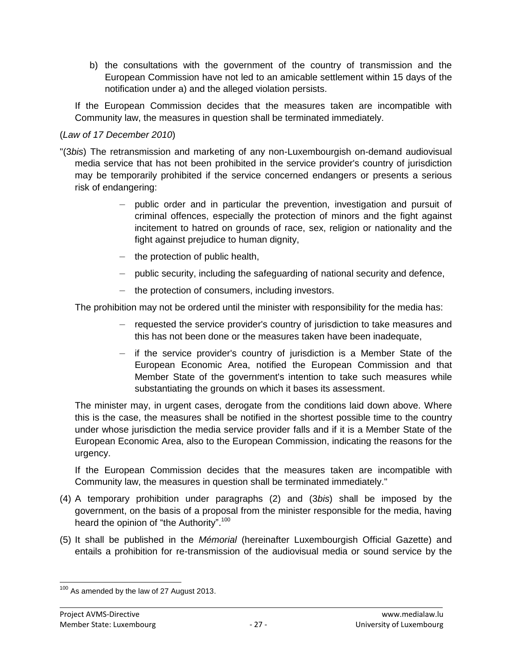b) the consultations with the government of the country of transmission and the European Commission have not led to an amicable settlement within 15 days of the notification under a) and the alleged violation persists.

If the European Commission decides that the measures taken are incompatible with Community law, the measures in question shall be terminated immediately.

### (*Law of 17 December 2010*)

- "(3*bis*) The retransmission and marketing of any non-Luxembourgish on-demand audiovisual media service that has not been prohibited in the service provider's country of jurisdiction may be temporarily prohibited if the service concerned endangers or presents a serious risk of endangering:
	- public order and in particular the prevention, investigation and pursuit of criminal offences, especially the protection of minors and the fight against incitement to hatred on grounds of race, sex, religion or nationality and the fight against prejudice to human dignity,
	- the protection of public health,
	- public security, including the safeguarding of national security and defence,
	- the protection of consumers, including investors.

The prohibition may not be ordered until the minister with responsibility for the media has:

- requested the service provider's country of jurisdiction to take measures and this has not been done or the measures taken have been inadequate,
- if the service provider's country of jurisdiction is a Member State of the European Economic Area, notified the European Commission and that Member State of the government's intention to take such measures while substantiating the grounds on which it bases its assessment.

The minister may, in urgent cases, derogate from the conditions laid down above. Where this is the case, the measures shall be notified in the shortest possible time to the country under whose jurisdiction the media service provider falls and if it is a Member State of the European Economic Area, also to the European Commission, indicating the reasons for the urgency.

If the European Commission decides that the measures taken are incompatible with Community law, the measures in question shall be terminated immediately."

- (4) A temporary prohibition under paragraphs (2) and (3*bis*) shall be imposed by the government, on the basis of a proposal from the minister responsible for the media, having heard the opinion of "the Authority".<sup>100</sup>
- (5) It shall be published in the *Mémorial* (hereinafter Luxembourgish Official Gazette) and entails a prohibition for re-transmission of the audiovisual media or sound service by the

 $\overline{a}$  $100$  As amended by the law of 27 August 2013.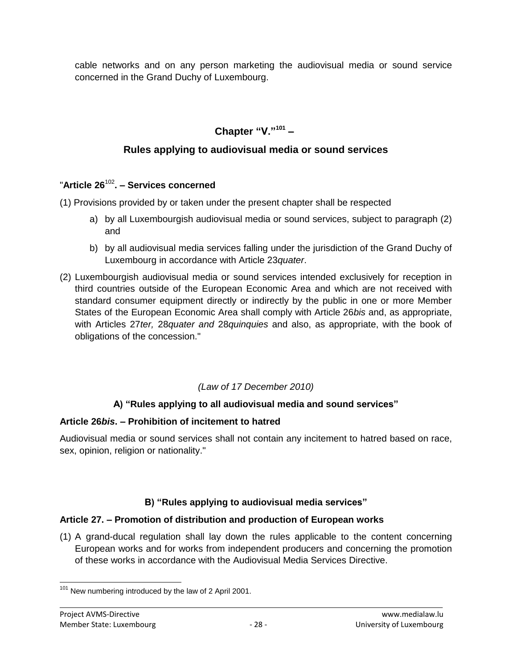cable networks and on any person marketing the audiovisual media or sound service concerned in the Grand Duchy of Luxembourg.

# **Chapter "V."<sup>101</sup> –**

# **Rules applying to audiovisual media or sound services**

# "**Article 26**<sup>102</sup> **. – Services concerned**

(1) Provisions provided by or taken under the present chapter shall be respected

- a) by all Luxembourgish audiovisual media or sound services, subject to paragraph (2) and
- b) by all audiovisual media services falling under the jurisdiction of the Grand Duchy of Luxembourg in accordance with Article 23*quater*.
- (2) Luxembourgish audiovisual media or sound services intended exclusively for reception in third countries outside of the European Economic Area and which are not received with standard consumer equipment directly or indirectly by the public in one or more Member States of the European Economic Area shall comply with Article 26*bis* and, as appropriate, with Articles 27*ter,* 28*quater and* 28*quinquies* and also, as appropriate, with the book of obligations of the concession."

# *(Law of 17 December 2010)*

# **A) "Rules applying to all audiovisual media and sound services"**

# **Article 26***bis***. – Prohibition of incitement to hatred**

Audiovisual media or sound services shall not contain any incitement to hatred based on race, sex, opinion, religion or nationality."

# **B) "Rules applying to audiovisual media services"**

# **Article 27. – Promotion of distribution and production of European works**

(1) A grand-ducal regulation shall lay down the rules applicable to the content concerning European works and for works from independent producers and concerning the promotion of these works in accordance with the Audiovisual Media Services Directive.

 $\overline{a}$  $101$  New numbering introduced by the law of 2 April 2001.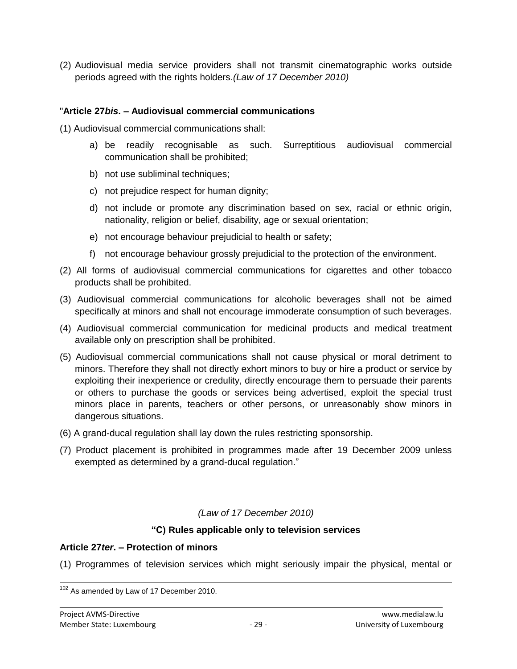(2) Audiovisual media service providers shall not transmit cinematographic works outside periods agreed with the rights holders.*(Law of 17 December 2010)*

### "**Article 27***bis***. – Audiovisual commercial communications**

(1) Audiovisual commercial communications shall:

- a) be readily recognisable as such. Surreptitious audiovisual commercial communication shall be prohibited;
- b) not use subliminal techniques;
- c) not prejudice respect for human dignity;
- d) not include or promote any discrimination based on sex, racial or ethnic origin, nationality, religion or belief, disability, age or sexual orientation;
- e) not encourage behaviour prejudicial to health or safety;
- f) not encourage behaviour grossly prejudicial to the protection of the environment.
- (2) All forms of audiovisual commercial communications for cigarettes and other tobacco products shall be prohibited.
- (3) Audiovisual commercial communications for alcoholic beverages shall not be aimed specifically at minors and shall not encourage immoderate consumption of such beverages.
- (4) Audiovisual commercial communication for medicinal products and medical treatment available only on prescription shall be prohibited.
- (5) Audiovisual commercial communications shall not cause physical or moral detriment to minors. Therefore they shall not directly exhort minors to buy or hire a product or service by exploiting their inexperience or credulity, directly encourage them to persuade their parents or others to purchase the goods or services being advertised, exploit the special trust minors place in parents, teachers or other persons, or unreasonably show minors in dangerous situations.
- (6) A grand-ducal regulation shall lay down the rules restricting sponsorship.
- (7) Product placement is prohibited in programmes made after 19 December 2009 unless exempted as determined by a grand-ducal regulation."

# *(Law of 17 December 2010)*

### **"C) Rules applicable only to television services**

### **Article 27***ter***. – Protection of minors**

(1) Programmes of television services which might seriously impair the physical, mental or

<sup>1</sup>  $102$  As amended by Law of 17 December 2010.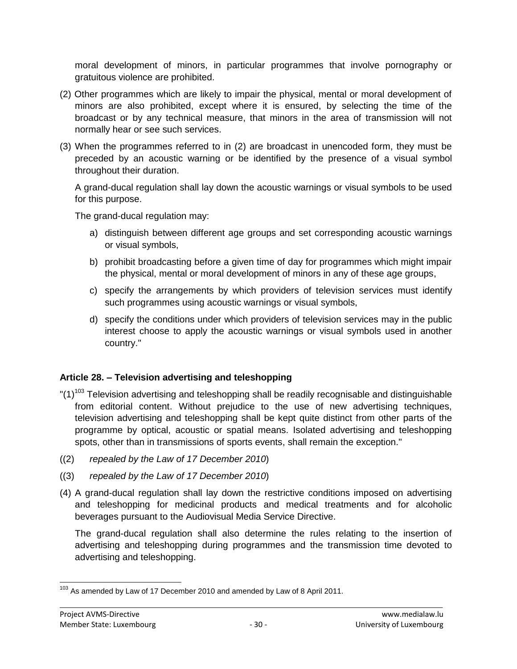moral development of minors, in particular programmes that involve pornography or gratuitous violence are prohibited.

- (2) Other programmes which are likely to impair the physical, mental or moral development of minors are also prohibited, except where it is ensured, by selecting the time of the broadcast or by any technical measure, that minors in the area of transmission will not normally hear or see such services.
- (3) When the programmes referred to in (2) are broadcast in unencoded form, they must be preceded by an acoustic warning or be identified by the presence of a visual symbol throughout their duration.

A grand-ducal regulation shall lay down the acoustic warnings or visual symbols to be used for this purpose.

The grand-ducal regulation may:

- a) distinguish between different age groups and set corresponding acoustic warnings or visual symbols,
- b) prohibit broadcasting before a given time of day for programmes which might impair the physical, mental or moral development of minors in any of these age groups,
- c) specify the arrangements by which providers of television services must identify such programmes using acoustic warnings or visual symbols,
- d) specify the conditions under which providers of television services may in the public interest choose to apply the acoustic warnings or visual symbols used in another country."

### **Article 28. – Television advertising and teleshopping**

- $"(1)^{103}$  Television advertising and teleshopping shall be readily recognisable and distinguishable from editorial content. Without prejudice to the use of new advertising techniques, television advertising and teleshopping shall be kept quite distinct from other parts of the programme by optical, acoustic or spatial means. Isolated advertising and teleshopping spots, other than in transmissions of sports events, shall remain the exception."
- ((2) *repealed by the Law of 17 December 2010*)
- ((3) *repealed by the Law of 17 December 2010*)
- (4) A grand-ducal regulation shall lay down the restrictive conditions imposed on advertising and teleshopping for medicinal products and medical treatments and for alcoholic beverages pursuant to the Audiovisual Media Service Directive.

The grand-ducal regulation shall also determine the rules relating to the insertion of advertising and teleshopping during programmes and the transmission time devoted to advertising and teleshopping.

 $\overline{a}$ <sup>103</sup> As amended by Law of 17 December 2010 and amended by Law of 8 April 2011.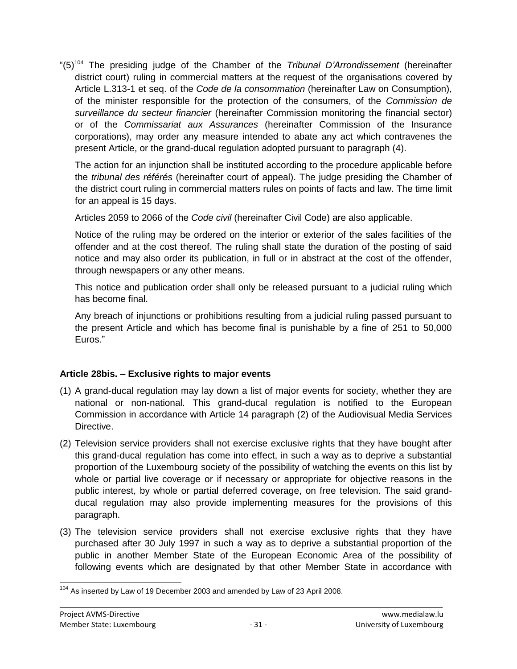"(5)<sup>104</sup> The presiding judge of the Chamber of the *Tribunal D'Arrondissement* (hereinafter district court) ruling in commercial matters at the request of the organisations covered by Article L.313-1 et seq. of the *Code de la consommation* (hereinafter Law on Consumption), of the minister responsible for the protection of the consumers, of the *Commission de surveillance du secteur financier* (hereinafter Commission monitoring the financial sector) or of the *Commissariat aux Assurances* (hereinafter Commission of the Insurance corporations), may order any measure intended to abate any act which contravenes the present Article, or the grand-ducal regulation adopted pursuant to paragraph (4).

The action for an injunction shall be instituted according to the procedure applicable before the *tribunal des référés* (hereinafter court of appeal). The judge presiding the Chamber of the district court ruling in commercial matters rules on points of facts and law. The time limit for an appeal is 15 days.

Articles 2059 to 2066 of the *Code civil* (hereinafter Civil Code) are also applicable.

Notice of the ruling may be ordered on the interior or exterior of the sales facilities of the offender and at the cost thereof. The ruling shall state the duration of the posting of said notice and may also order its publication, in full or in abstract at the cost of the offender, through newspapers or any other means.

This notice and publication order shall only be released pursuant to a judicial ruling which has become final.

Any breach of injunctions or prohibitions resulting from a judicial ruling passed pursuant to the present Article and which has become final is punishable by a fine of 251 to 50,000 Euros."

### **Article 28bis. – Exclusive rights to major events**

- (1) A grand-ducal regulation may lay down a list of major events for society, whether they are national or non-national. This grand-ducal regulation is notified to the European Commission in accordance with Article 14 paragraph (2) of the Audiovisual Media Services Directive.
- (2) Television service providers shall not exercise exclusive rights that they have bought after this grand-ducal regulation has come into effect, in such a way as to deprive a substantial proportion of the Luxembourg society of the possibility of watching the events on this list by whole or partial live coverage or if necessary or appropriate for objective reasons in the public interest, by whole or partial deferred coverage, on free television. The said grandducal regulation may also provide implementing measures for the provisions of this paragraph.
- (3) The television service providers shall not exercise exclusive rights that they have purchased after 30 July 1997 in such a way as to deprive a substantial proportion of the public in another Member State of the European Economic Area of the possibility of following events which are designated by that other Member State in accordance with

 $\overline{a}$  $104$  As inserted by Law of 19 December 2003 and amended by Law of 23 April 2008.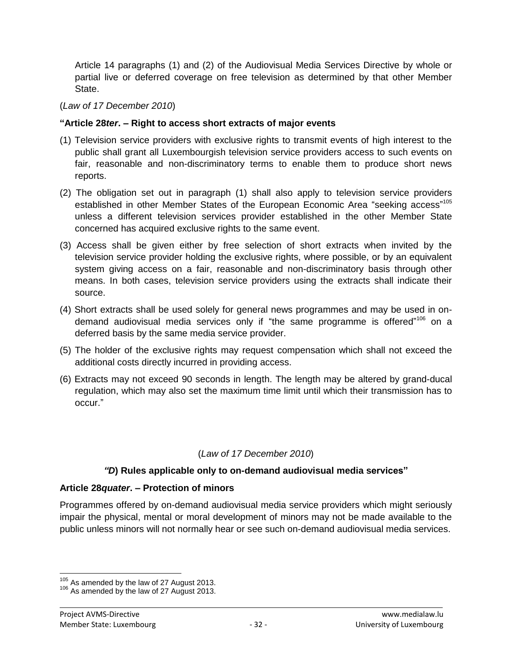Article 14 paragraphs (1) and (2) of the Audiovisual Media Services Directive by whole or partial live or deferred coverage on free television as determined by that other Member State.

### (*Law of 17 December 2010*)

#### **"Article 28***ter***. – Right to access short extracts of major events**

- (1) Television service providers with exclusive rights to transmit events of high interest to the public shall grant all Luxembourgish television service providers access to such events on fair, reasonable and non-discriminatory terms to enable them to produce short news reports.
- (2) The obligation set out in paragraph (1) shall also apply to television service providers established in other Member States of the European Economic Area "seeking access"<sup>105</sup> unless a different television services provider established in the other Member State concerned has acquired exclusive rights to the same event.
- (3) Access shall be given either by free selection of short extracts when invited by the television service provider holding the exclusive rights, where possible, or by an equivalent system giving access on a fair, reasonable and non-discriminatory basis through other means. In both cases, television service providers using the extracts shall indicate their source.
- (4) Short extracts shall be used solely for general news programmes and may be used in ondemand audiovisual media services only if "the same programme is offered"<sup>106</sup> on a deferred basis by the same media service provider.
- (5) The holder of the exclusive rights may request compensation which shall not exceed the additional costs directly incurred in providing access.
- (6) Extracts may not exceed 90 seconds in length. The length may be altered by grand-ducal regulation, which may also set the maximum time limit until which their transmission has to occur."

### (*Law of 17 December 2010*)

### *"D***) Rules applicable only to on-demand audiovisual media services"**

### **Article 28***quater***. – Protection of minors**

Programmes offered by on-demand audiovisual media service providers which might seriously impair the physical, mental or moral development of minors may not be made available to the public unless minors will not normally hear or see such on-demand audiovisual media services.

 $\overline{a}$ 

 $105$  As amended by the law of 27 August 2013.

<sup>&</sup>lt;sup>106</sup> As amended by the law of 27 August 2013.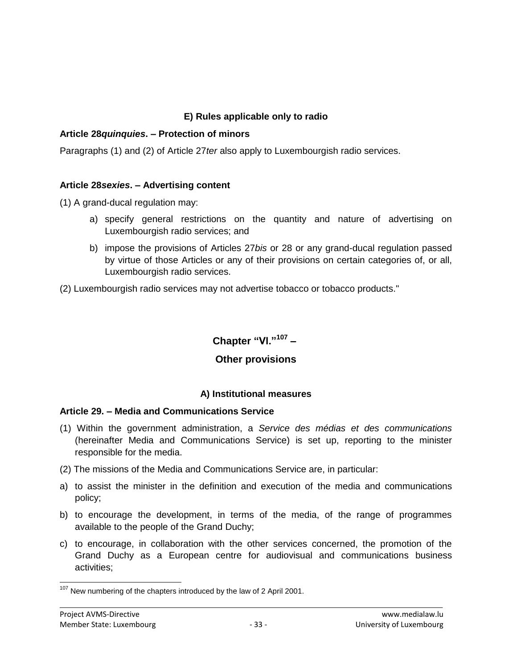# **E) Rules applicable only to radio**

### **Article 28***quinquies***. – Protection of minors**

Paragraphs (1) and (2) of Article 27*ter* also apply to Luxembourgish radio services.

#### **Article 28***sexies***. – Advertising content**

(1) A grand-ducal regulation may:

- a) specify general restrictions on the quantity and nature of advertising on Luxembourgish radio services; and
- b) impose the provisions of Articles 27*bis* or 28 or any grand-ducal regulation passed by virtue of those Articles or any of their provisions on certain categories of, or all, Luxembourgish radio services.

(2) Luxembourgish radio services may not advertise tobacco or tobacco products."

**Chapter "Vl."<sup>107</sup> –**

# **Other provisions**

### **A) Institutional measures**

### **Article 29. – Media and Communications Service**

- (1) Within the government administration, a *Service des médias et des communications* (hereinafter Media and Communications Service) is set up, reporting to the minister responsible for the media.
- (2) The missions of the Media and Communications Service are, in particular:
- a) to assist the minister in the definition and execution of the media and communications policy;
- b) to encourage the development, in terms of the media, of the range of programmes available to the people of the Grand Duchy;
- c) to encourage, in collaboration with the other services concerned, the promotion of the Grand Duchy as a European centre for audiovisual and communications business activities;

 $\overline{a}$  $107$  New numbering of the chapters introduced by the law of 2 April 2001.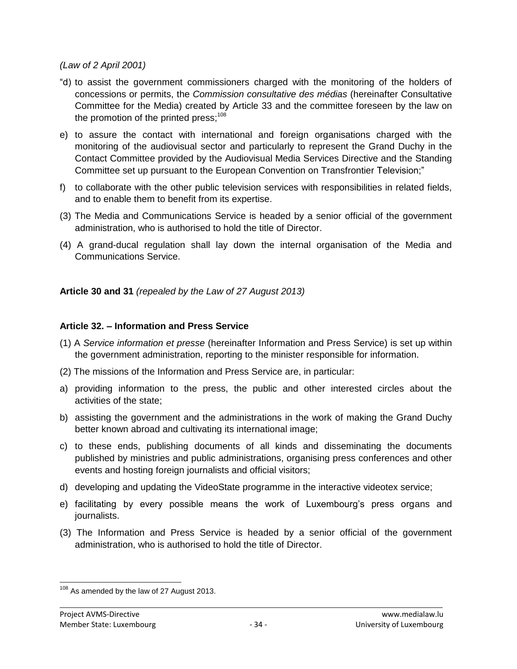### *(Law of 2 April 2001)*

- "d) to assist the government commissioners charged with the monitoring of the holders of concessions or permits, the *Commission consultative des médias* (hereinafter Consultative Committee for the Media) created by Article 33 and the committee foreseen by the law on the promotion of the printed press: $108$
- e) to assure the contact with international and foreign organisations charged with the monitoring of the audiovisual sector and particularly to represent the Grand Duchy in the Contact Committee provided by the Audiovisual Media Services Directive and the Standing Committee set up pursuant to the European Convention on Transfrontier Television;"
- f) to collaborate with the other public television services with responsibilities in related fields, and to enable them to benefit from its expertise.
- (3) The Media and Communications Service is headed by a senior official of the government administration, who is authorised to hold the title of Director.
- (4) A grand-ducal regulation shall lay down the internal organisation of the Media and Communications Service.

**Article 30 and 31** *(repealed by the Law of 27 August 2013)*

### **Article 32. – Information and Press Service**

- (1) A *Service information et presse* (hereinafter Information and Press Service) is set up within the government administration, reporting to the minister responsible for information.
- (2) The missions of the Information and Press Service are, in particular:
- a) providing information to the press, the public and other interested circles about the activities of the state;
- b) assisting the government and the administrations in the work of making the Grand Duchy better known abroad and cultivating its international image;
- c) to these ends, publishing documents of all kinds and disseminating the documents published by ministries and public administrations, organising press conferences and other events and hosting foreign journalists and official visitors;
- d) developing and updating the VideoState programme in the interactive videotex service;
- e) facilitating by every possible means the work of Luxembourg's press organs and journalists.
- (3) The Information and Press Service is headed by a senior official of the government administration, who is authorised to hold the title of Director.

 $\overline{a}$  $108$  As amended by the law of 27 August 2013.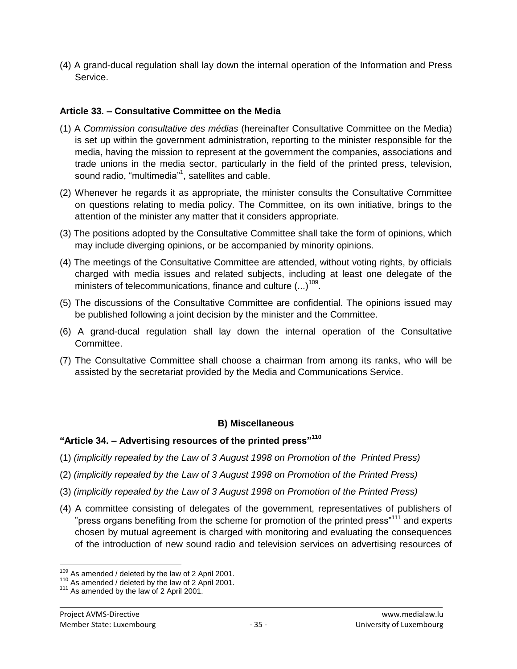(4) A grand-ducal regulation shall lay down the internal operation of the Information and Press Service.

### **Article 33. – Consultative Committee on the Media**

- (1) A *Commission consultative des médias* (hereinafter Consultative Committee on the Media) is set up within the government administration, reporting to the minister responsible for the media, having the mission to represent at the government the companies, associations and trade unions in the media sector, particularly in the field of the printed press, television, sound radio, "multimedia"<sup>1</sup>, satellites and cable.
- (2) Whenever he regards it as appropriate, the minister consults the Consultative Committee on questions relating to media policy. The Committee, on its own initiative, brings to the attention of the minister any matter that it considers appropriate.
- (3) The positions adopted by the Consultative Committee shall take the form of opinions, which may include diverging opinions, or be accompanied by minority opinions.
- (4) The meetings of the Consultative Committee are attended, without voting rights, by officials charged with media issues and related subjects, including at least one delegate of the ministers of telecommunications, finance and culture  $(...)^{109}$ .
- (5) The discussions of the Consultative Committee are confidential. The opinions issued may be published following a joint decision by the minister and the Committee.
- (6) A grand-ducal regulation shall lay down the internal operation of the Consultative Committee.
- (7) The Consultative Committee shall choose a chairman from among its ranks, who will be assisted by the secretariat provided by the Media and Communications Service.

### **B) Miscellaneous**

### **"Article 34. – Advertising resources of the printed press"<sup>110</sup>**

- (1) *(implicitly repealed by the Law of 3 August 1998 on Promotion of the Printed Press)*
- (2) *(implicitly repealed by the Law of 3 August 1998 on Promotion of the Printed Press)*
- (3) *(implicitly repealed by the Law of 3 August 1998 on Promotion of the Printed Press)*
- (4) A committee consisting of delegates of the government, representatives of publishers of "press organs benefiting from the scheme for promotion of the printed press"<sup>111</sup> and experts chosen by mutual agreement is charged with monitoring and evaluating the consequences of the introduction of new sound radio and television services on advertising resources of

 $\overline{a}$  $109$  As amended / deleted by the law of 2 April 2001.

<sup>110</sup> As amended / deleted by the law of 2 April 2001.

<sup>&</sup>lt;sup>111</sup> As amended by the law of 2 April 2001.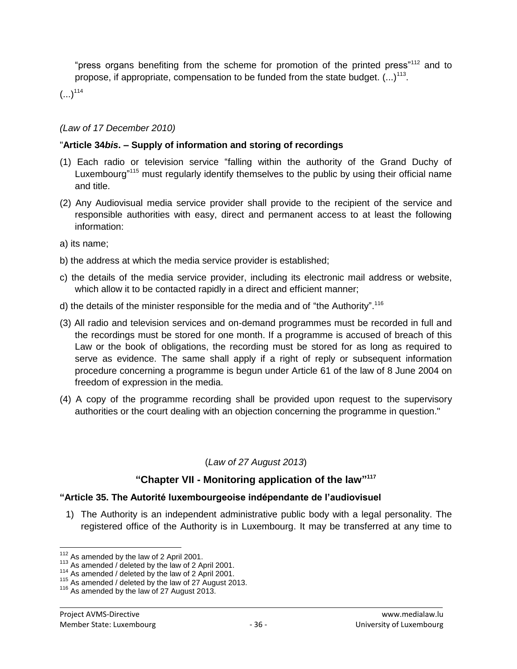"press organs benefiting from the scheme for promotion of the printed press"<sup>112</sup> and to propose, if appropriate, compensation to be funded from the state budget.  $(...)^{113}$ .

 $(...)^{114}$ 

### *(Law of 17 December 2010)*

### "**Article 34***bis***. – Supply of information and storing of recordings**

- (1) Each radio or television service "falling within the authority of the Grand Duchy of Luxembourg"<sup>115</sup> must regularly identify themselves to the public by using their official name and title.
- (2) Any Audiovisual media service provider shall provide to the recipient of the service and responsible authorities with easy, direct and permanent access to at least the following information:
- a) its name;
- b) the address at which the media service provider is established;
- c) the details of the media service provider, including its electronic mail address or website, which allow it to be contacted rapidly in a direct and efficient manner;
- d) the details of the minister responsible for the media and of "the Authority".<sup>116</sup>
- (3) All radio and television services and on-demand programmes must be recorded in full and the recordings must be stored for one month. If a programme is accused of breach of this Law or the book of obligations, the recording must be stored for as long as required to serve as evidence. The same shall apply if a right of reply or subsequent information procedure concerning a programme is begun under Article 61 of the law of 8 June 2004 on freedom of expression in the media.
- (4) A copy of the programme recording shall be provided upon request to the supervisory authorities or the court dealing with an objection concerning the programme in question."

# (*Law of 27 August 2013*)

# **"Chapter VII - Monitoring application of the law" 117**

### **"Article 35. The Autorité luxembourgeoise indépendante de l'audiovisuel**

1) The Authority is an independent administrative public body with a legal personality. The registered office of the Authority is in Luxembourg. It may be transferred at any time to

 $\overline{a}$ <sup>112</sup> As amended by the law of 2 April 2001.

<sup>113</sup> As amended / deleted by the law of 2 April 2001.

<sup>114</sup> As amended / deleted by the law of 2 April 2001.

<sup>&</sup>lt;sup>115</sup> As amended / deleted by the law of 27 August 2013.

<sup>&</sup>lt;sup>116</sup> As amended by the law of 27 August 2013.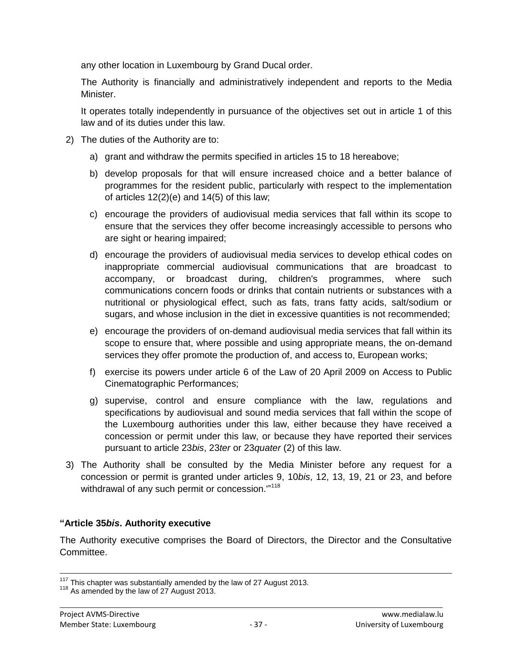any other location in Luxembourg by Grand Ducal order.

The Authority is financially and administratively independent and reports to the Media Minister.

It operates totally independently in pursuance of the objectives set out in article 1 of this law and of its duties under this law.

- 2) The duties of the Authority are to:
	- a) grant and withdraw the permits specified in articles 15 to 18 hereabove;
	- b) develop proposals for that will ensure increased choice and a better balance of programmes for the resident public, particularly with respect to the implementation of articles  $12(2)(e)$  and  $14(5)$  of this law;
	- c) encourage the providers of audiovisual media services that fall within its scope to ensure that the services they offer become increasingly accessible to persons who are sight or hearing impaired;
	- d) encourage the providers of audiovisual media services to develop ethical codes on inappropriate commercial audiovisual communications that are broadcast to accompany, or broadcast during, children's programmes, where such communications concern foods or drinks that contain nutrients or substances with a nutritional or physiological effect, such as fats, trans fatty acids, salt/sodium or sugars, and whose inclusion in the diet in excessive quantities is not recommended;
	- e) encourage the providers of on-demand audiovisual media services that fall within its scope to ensure that, where possible and using appropriate means, the on-demand services they offer promote the production of, and access to, European works;
	- f) exercise its powers under article 6 of the Law of 20 April 2009 on Access to Public Cinematographic Performances;
	- g) supervise, control and ensure compliance with the law, regulations and specifications by audiovisual and sound media services that fall within the scope of the Luxembourg authorities under this law, either because they have received a concession or permit under this law, or because they have reported their services pursuant to article 23*bis*, 23*ter* or 23*quater* (2) of this law.
- 3) The Authority shall be consulted by the Media Minister before any request for a concession or permit is granted under articles 9, 10*bis*, 12, 13, 19, 21 or 23, and before withdrawal of any such permit or concession.""<sup>118</sup>

# **"Article 35***bis***. Authority executive**

The Authority executive comprises the Board of Directors, the Director and the Consultative Committee.

 $\overline{a}$ 

 $117$  This chapter was substantially amended by the law of 27 August 2013.

<sup>&</sup>lt;sup>118</sup> As amended by the law of 27 August 2013.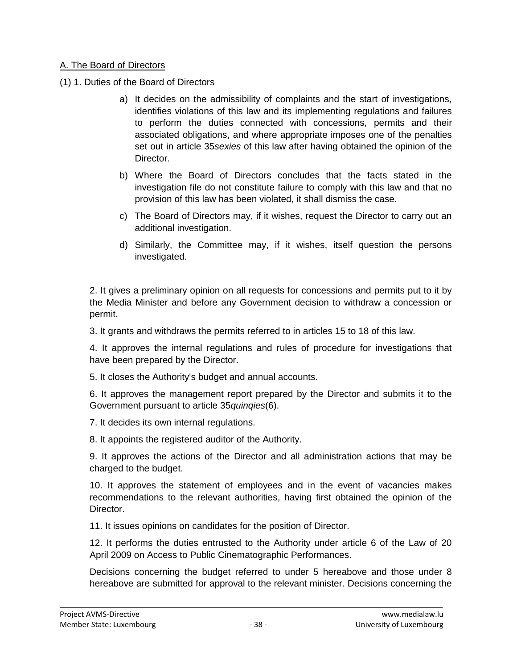### A. The Board of Directors

- (1) 1. Duties of the Board of Directors
	- a) It decides on the admissibility of complaints and the start of investigations, identifies violations of this law and its implementing regulations and failures to perform the duties connected with concessions, permits and their associated obligations, and where appropriate imposes one of the penalties set out in article 35*sexies* of this law after having obtained the opinion of the Director.
	- b) Where the Board of Directors concludes that the facts stated in the investigation file do not constitute failure to comply with this law and that no provision of this law has been violated, it shall dismiss the case.
	- c) The Board of Directors may, if it wishes, request the Director to carry out an additional investigation.
	- d) Similarly, the Committee may, if it wishes, itself question the persons investigated.

2. It gives a preliminary opinion on all requests for concessions and permits put to it by the Media Minister and before any Government decision to withdraw a concession or permit.

3. It grants and withdraws the permits referred to in articles 15 to 18 of this law.

4. It approves the internal regulations and rules of procedure for investigations that have been prepared by the Director.

5. It closes the Authority's budget and annual accounts.

6. It approves the management report prepared by the Director and submits it to the Government pursuant to article 35*quinqies*(6).

7. It decides its own internal regulations.

8. It appoints the registered auditor of the Authority.

9. It approves the actions of the Director and all administration actions that may be charged to the budget.

10. It approves the statement of employees and in the event of vacancies makes recommendations to the relevant authorities, having first obtained the opinion of the Director.

11. It issues opinions on candidates for the position of Director.

12. It performs the duties entrusted to the Authority under article 6 of the Law of 20 April 2009 on Access to Public Cinematographic Performances.

Decisions concerning the budget referred to under 5 hereabove and those under 8 hereabove are submitted for approval to the relevant minister. Decisions concerning the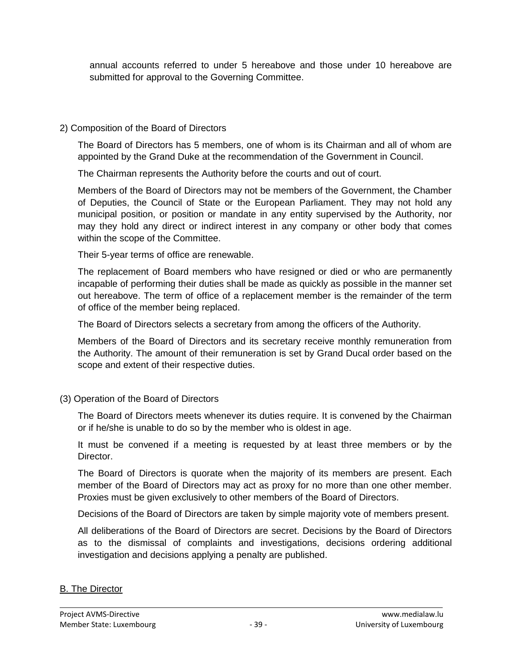annual accounts referred to under 5 hereabove and those under 10 hereabove are submitted for approval to the Governing Committee.

### 2) Composition of the Board of Directors

The Board of Directors has 5 members, one of whom is its Chairman and all of whom are appointed by the Grand Duke at the recommendation of the Government in Council.

The Chairman represents the Authority before the courts and out of court.

Members of the Board of Directors may not be members of the Government, the Chamber of Deputies, the Council of State or the European Parliament. They may not hold any municipal position, or position or mandate in any entity supervised by the Authority, nor may they hold any direct or indirect interest in any company or other body that comes within the scope of the Committee.

Their 5-year terms of office are renewable.

The replacement of Board members who have resigned or died or who are permanently incapable of performing their duties shall be made as quickly as possible in the manner set out hereabove. The term of office of a replacement member is the remainder of the term of office of the member being replaced.

The Board of Directors selects a secretary from among the officers of the Authority.

Members of the Board of Directors and its secretary receive monthly remuneration from the Authority. The amount of their remuneration is set by Grand Ducal order based on the scope and extent of their respective duties.

(3) Operation of the Board of Directors

The Board of Directors meets whenever its duties require. It is convened by the Chairman or if he/she is unable to do so by the member who is oldest in age.

It must be convened if a meeting is requested by at least three members or by the Director.

The Board of Directors is quorate when the majority of its members are present. Each member of the Board of Directors may act as proxy for no more than one other member. Proxies must be given exclusively to other members of the Board of Directors.

Decisions of the Board of Directors are taken by simple majority vote of members present.

All deliberations of the Board of Directors are secret. Decisions by the Board of Directors as to the dismissal of complaints and investigations, decisions ordering additional investigation and decisions applying a penalty are published.

# B. The Director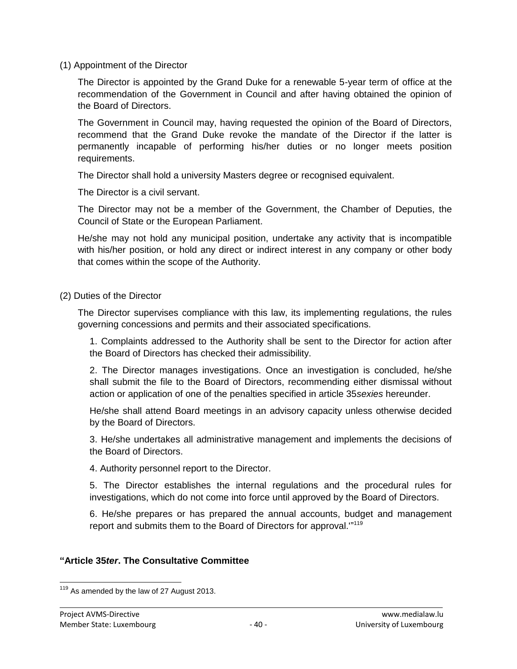(1) Appointment of the Director

The Director is appointed by the Grand Duke for a renewable 5-year term of office at the recommendation of the Government in Council and after having obtained the opinion of the Board of Directors.

The Government in Council may, having requested the opinion of the Board of Directors, recommend that the Grand Duke revoke the mandate of the Director if the latter is permanently incapable of performing his/her duties or no longer meets position requirements.

The Director shall hold a university Masters degree or recognised equivalent.

The Director is a civil servant.

The Director may not be a member of the Government, the Chamber of Deputies, the Council of State or the European Parliament.

He/she may not hold any municipal position, undertake any activity that is incompatible with his/her position, or hold any direct or indirect interest in any company or other body that comes within the scope of the Authority.

(2) Duties of the Director

The Director supervises compliance with this law, its implementing regulations, the rules governing concessions and permits and their associated specifications.

1. Complaints addressed to the Authority shall be sent to the Director for action after the Board of Directors has checked their admissibility.

2. The Director manages investigations. Once an investigation is concluded, he/she shall submit the file to the Board of Directors, recommending either dismissal without action or application of one of the penalties specified in article 35*sexies* hereunder.

He/she shall attend Board meetings in an advisory capacity unless otherwise decided by the Board of Directors.

3. He/she undertakes all administrative management and implements the decisions of the Board of Directors.

4. Authority personnel report to the Director.

5. The Director establishes the internal regulations and the procedural rules for investigations, which do not come into force until approved by the Board of Directors.

6. He/she prepares or has prepared the annual accounts, budget and management report and submits them to the Board of Directors for approval."<sup>119</sup>

### **"Article 35***ter***. The Consultative Committee**

 $\overline{a}$  $119$  As amended by the law of 27 August 2013.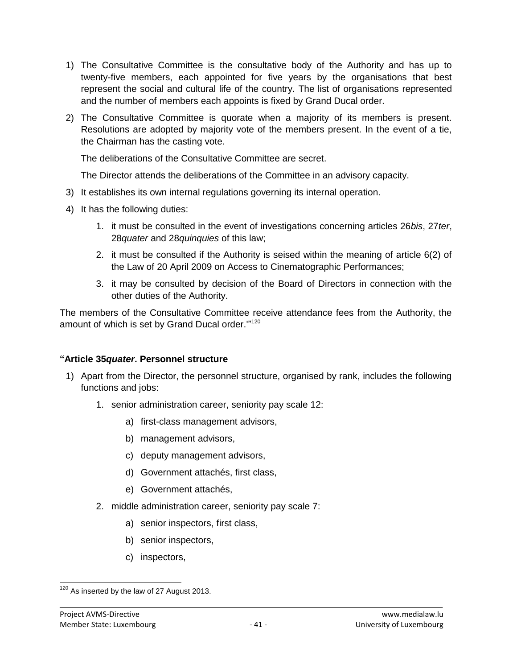- 1) The Consultative Committee is the consultative body of the Authority and has up to twenty-five members, each appointed for five years by the organisations that best represent the social and cultural life of the country. The list of organisations represented and the number of members each appoints is fixed by Grand Ducal order.
- 2) The Consultative Committee is quorate when a majority of its members is present. Resolutions are adopted by majority vote of the members present. In the event of a tie, the Chairman has the casting vote.

The deliberations of the Consultative Committee are secret.

The Director attends the deliberations of the Committee in an advisory capacity.

- 3) It establishes its own internal regulations governing its internal operation.
- 4) It has the following duties:
	- 1. it must be consulted in the event of investigations concerning articles 26*bis*, 27*ter*, 28*quater* and 28*quinquies* of this law;
	- 2. it must be consulted if the Authority is seised within the meaning of article 6(2) of the Law of 20 April 2009 on Access to Cinematographic Performances;
	- 3. it may be consulted by decision of the Board of Directors in connection with the other duties of the Authority.

The members of the Consultative Committee receive attendance fees from the Authority, the amount of which is set by Grand Ducal order."<sup>120</sup>

### **"Article 35***quater***. Personnel structure**

- 1) Apart from the Director, the personnel structure, organised by rank, includes the following functions and jobs:
	- 1. senior administration career, seniority pay scale 12:
		- a) first-class management advisors,
		- b) management advisors,
		- c) deputy management advisors,
		- d) Government attachés, first class,
		- e) Government attachés,
	- 2. middle administration career, seniority pay scale 7:
		- a) senior inspectors, first class,
		- b) senior inspectors,
		- c) inspectors,

 $\overline{a}$  $120$  As inserted by the law of 27 August 2013.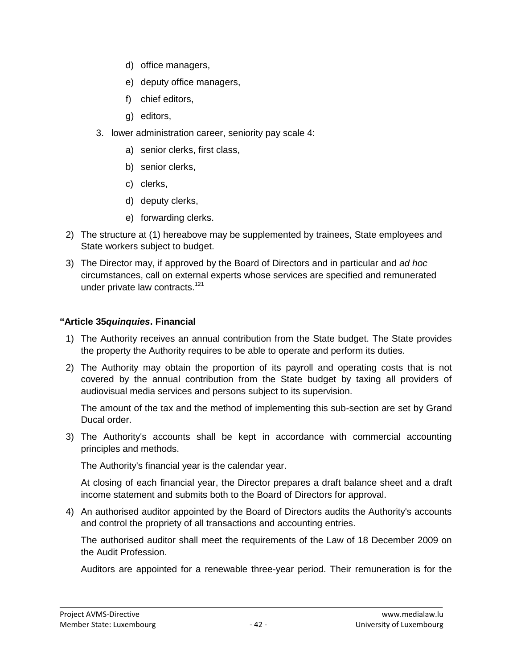- d) office managers,
- e) deputy office managers,
- f) chief editors,
- g) editors,
- 3. lower administration career, seniority pay scale 4:
	- a) senior clerks, first class,
	- b) senior clerks,
	- c) clerks,
	- d) deputy clerks,
	- e) forwarding clerks.
- 2) The structure at (1) hereabove may be supplemented by trainees, State employees and State workers subject to budget.
- 3) The Director may, if approved by the Board of Directors and in particular and *ad hoc* circumstances, call on external experts whose services are specified and remunerated under private law contracts.<sup>121</sup>

### **"Article 35***quinquies***. Financial**

- 1) The Authority receives an annual contribution from the State budget. The State provides the property the Authority requires to be able to operate and perform its duties.
- 2) The Authority may obtain the proportion of its payroll and operating costs that is not covered by the annual contribution from the State budget by taxing all providers of audiovisual media services and persons subject to its supervision.

The amount of the tax and the method of implementing this sub-section are set by Grand Ducal order.

3) The Authority's accounts shall be kept in accordance with commercial accounting principles and methods.

The Authority's financial year is the calendar year.

At closing of each financial year, the Director prepares a draft balance sheet and a draft income statement and submits both to the Board of Directors for approval.

4) An authorised auditor appointed by the Board of Directors audits the Authority's accounts and control the propriety of all transactions and accounting entries.

The authorised auditor shall meet the requirements of the Law of 18 December 2009 on the Audit Profession.

Auditors are appointed for a renewable three-year period. Their remuneration is for the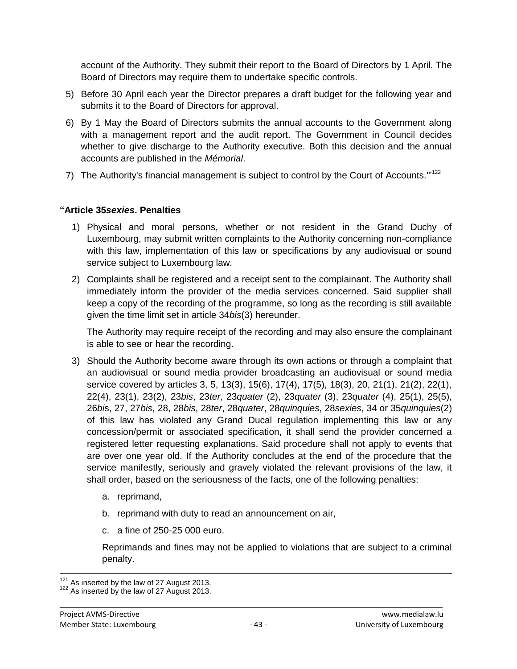account of the Authority. They submit their report to the Board of Directors by 1 April. The Board of Directors may require them to undertake specific controls.

- 5) Before 30 April each year the Director prepares a draft budget for the following year and submits it to the Board of Directors for approval.
- 6) By 1 May the Board of Directors submits the annual accounts to the Government along with a management report and the audit report. The Government in Council decides whether to give discharge to the Authority executive. Both this decision and the annual accounts are published in the *Mémorial*.
- 7) The Authority's financial management is subject to control by the Court of Accounts. $122$

### **"Article 35***sexies***. Penalties**

- 1) Physical and moral persons, whether or not resident in the Grand Duchy of Luxembourg, may submit written complaints to the Authority concerning non-compliance with this law, implementation of this law or specifications by any audiovisual or sound service subject to Luxembourg law.
- 2) Complaints shall be registered and a receipt sent to the complainant. The Authority shall immediately inform the provider of the media services concerned. Said supplier shall keep a copy of the recording of the programme, so long as the recording is still available given the time limit set in article 34*bis*(3) hereunder.

The Authority may require receipt of the recording and may also ensure the complainant is able to see or hear the recording.

- 3) Should the Authority become aware through its own actions or through a complaint that an audiovisual or sound media provider broadcasting an audiovisual or sound media service covered by articles 3, 5, 13(3), 15(6), 17(4), 17(5), 18(3), 20, 21(1), 21(2), 22(1), 22(4), 23(1), 23(2), 23*bis*, 23*ter*, 23*quater* (2), 23*quater* (3), 23*quater* (4), 25(1), 25(5), 26*bi*s, 27, 27*bis*, 28, 28*bis*, 28*ter*, 28*quater*, 28*quinquies*, 28*sexies*, 34 or 35*quinquies*(2) of this law has violated any Grand Ducal regulation implementing this law or any concession/permit or associated specification, it shall send the provider concerned a registered letter requesting explanations. Said procedure shall not apply to events that are over one year old. If the Authority concludes at the end of the procedure that the service manifestly, seriously and gravely violated the relevant provisions of the law, it shall order, based on the seriousness of the facts, one of the following penalties:
	- a. reprimand,
	- b. reprimand with duty to read an announcement on air,
	- c. a fine of 250-25 000 euro.

Reprimands and fines may not be applied to violations that are subject to a criminal penalty.

 $\overline{a}$  $121$  As inserted by the law of 27 August 2013.

<sup>&</sup>lt;sup>122</sup> As inserted by the law of 27 August 2013.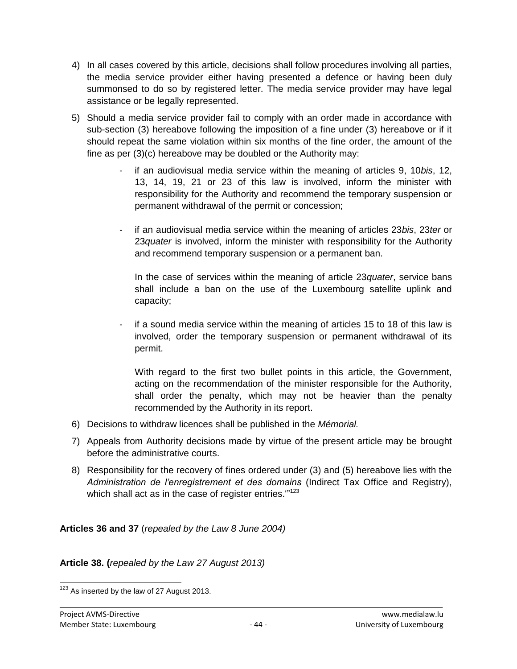- 4) In all cases covered by this article, decisions shall follow procedures involving all parties, the media service provider either having presented a defence or having been duly summonsed to do so by registered letter. The media service provider may have legal assistance or be legally represented.
- 5) Should a media service provider fail to comply with an order made in accordance with sub-section (3) hereabove following the imposition of a fine under (3) hereabove or if it should repeat the same violation within six months of the fine order, the amount of the fine as per (3)(c) hereabove may be doubled or the Authority may:
	- if an audiovisual media service within the meaning of articles 9, 10*bis*, 12, 13, 14, 19, 21 or 23 of this law is involved, inform the minister with responsibility for the Authority and recommend the temporary suspension or permanent withdrawal of the permit or concession;
	- if an audiovisual media service within the meaning of articles 23*bis*, 23*ter* or 23*quater* is involved, inform the minister with responsibility for the Authority and recommend temporary suspension or a permanent ban.

In the case of services within the meaning of article 23*quater*, service bans shall include a ban on the use of the Luxembourg satellite uplink and capacity;

- if a sound media service within the meaning of articles 15 to 18 of this law is involved, order the temporary suspension or permanent withdrawal of its permit.

With regard to the first two bullet points in this article, the Government, acting on the recommendation of the minister responsible for the Authority, shall order the penalty, which may not be heavier than the penalty recommended by the Authority in its report.

- 6) Decisions to withdraw licences shall be published in the *Mémorial.*
- 7) Appeals from Authority decisions made by virtue of the present article may be brought before the administrative courts.
- 8) Responsibility for the recovery of fines ordered under (3) and (5) hereabove lies with the *Administration de l'enregistrement et des domains* (Indirect Tax Office and Registry), which shall act as in the case of register entries.'"<sup>123</sup>

**Articles 36 and 37** (*repealed by the Law 8 June 2004)*

**Article 38. (***repealed by the Law 27 August 2013)*

 $\overline{a}$  $123$  As inserted by the law of 27 August 2013.